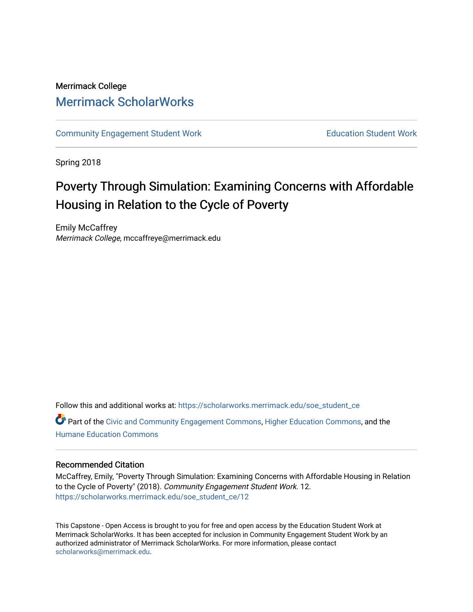# Merrimack College [Merrimack ScholarWorks](https://scholarworks.merrimack.edu/)

[Community Engagement Student Work](https://scholarworks.merrimack.edu/soe_student_ce) **Education Student Work** Education Student Work

Spring 2018

# Poverty Through Simulation: Examining Concerns with Affordable Housing in Relation to the Cycle of Poverty

Emily McCaffrey Merrimack College, mccaffreye@merrimack.edu

Follow this and additional works at: [https://scholarworks.merrimack.edu/soe\\_student\\_ce](https://scholarworks.merrimack.edu/soe_student_ce?utm_source=scholarworks.merrimack.edu%2Fsoe_student_ce%2F12&utm_medium=PDF&utm_campaign=PDFCoverPages) 

Part of the [Civic and Community Engagement Commons](http://network.bepress.com/hgg/discipline/1028?utm_source=scholarworks.merrimack.edu%2Fsoe_student_ce%2F12&utm_medium=PDF&utm_campaign=PDFCoverPages), [Higher Education Commons,](http://network.bepress.com/hgg/discipline/1245?utm_source=scholarworks.merrimack.edu%2Fsoe_student_ce%2F12&utm_medium=PDF&utm_campaign=PDFCoverPages) and the [Humane Education Commons](http://network.bepress.com/hgg/discipline/1295?utm_source=scholarworks.merrimack.edu%2Fsoe_student_ce%2F12&utm_medium=PDF&utm_campaign=PDFCoverPages) 

# Recommended Citation

McCaffrey, Emily, "Poverty Through Simulation: Examining Concerns with Affordable Housing in Relation to the Cycle of Poverty" (2018). Community Engagement Student Work. 12. [https://scholarworks.merrimack.edu/soe\\_student\\_ce/12](https://scholarworks.merrimack.edu/soe_student_ce/12?utm_source=scholarworks.merrimack.edu%2Fsoe_student_ce%2F12&utm_medium=PDF&utm_campaign=PDFCoverPages)

This Capstone - Open Access is brought to you for free and open access by the Education Student Work at Merrimack ScholarWorks. It has been accepted for inclusion in Community Engagement Student Work by an authorized administrator of Merrimack ScholarWorks. For more information, please contact [scholarworks@merrimack.edu](mailto:scholarworks@merrimack.edu).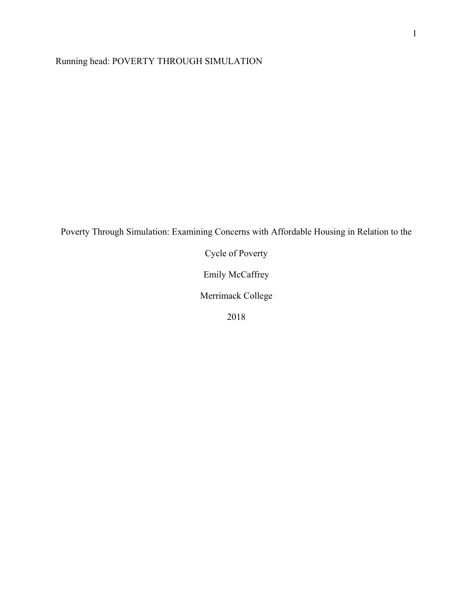Running head: POVERTY THROUGH SIMULATION

Poverty Through Simulation: Examining Concerns with Affordable Housing in Relation to the

Cycle of Poverty

Emily McCaffrey

Merrimack College

2018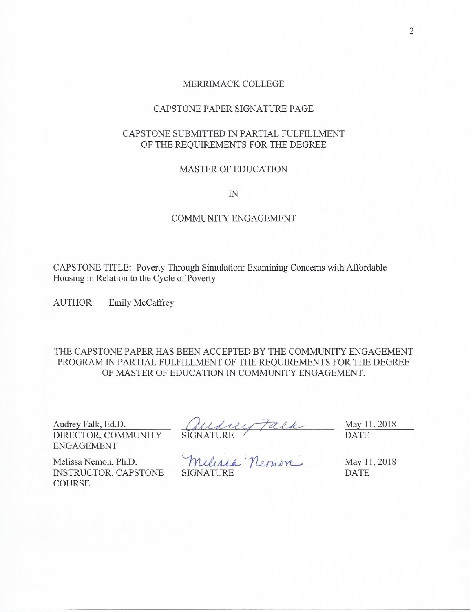#### MERRIMACK COLLEGE

# CAPSTONE PAPER SIGNATURE PAGE

# CAPSTONE SUBMITTED IN PARTIAL FULFILLMENT OF THE REQUIREMENTS FOR THE DEGREE

#### **MASTER OF EDUCATION**

 $I\!N$ 

# **COMMUNITY ENGAGEMENT**

CAPSTONE TITLE: Poverty Through Simulation: Examining Concerns with Affordable Housing in Relation to the Cycle of Poverty

Emily McCaffrey **AUTHOR:** 

THE CAPSTONE PAPER HAS BEEN ACCEPTED BY THE COMMUNITY ENGAGEMENT PROGRAM IN PARTIAL FULFILLMENT OF THE REQUIREMENTS FOR THE DEGREE OF MASTER OF EDUCATION IN COMMUNITY ENGAGEMENT.

Audrey Falk, Ed.D. DIRECTOR, COMMUNITY **ENGAGEMENT** 

Audrey Falk<br>SIGNATURE<br>Um. D. ALA, Nemon

May 11, 2018 **DATE** 

Melissa Nemon, Ph.D. INSTRUCTOR, CAPSTONE **COURSE** 

**SIGNATURE** 

May 11, 2018 **DATE**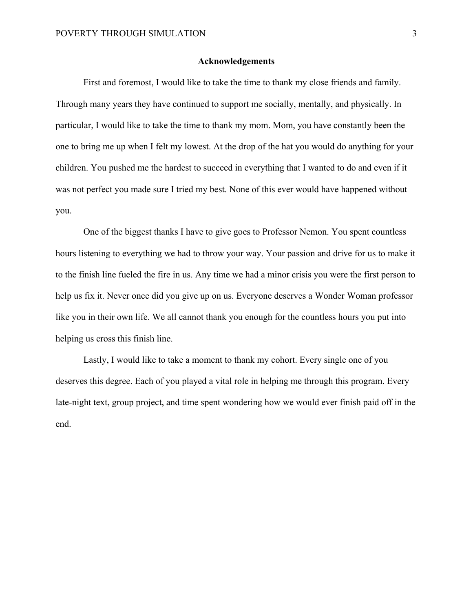#### **Acknowledgements**

 First and foremost, I would like to take the time to thank my close friends and family. Through many years they have continued to support me socially, mentally, and physically. In particular, I would like to take the time to thank my mom. Mom, you have constantly been the one to bring me up when I felt my lowest. At the drop of the hat you would do anything for your children. You pushed me the hardest to succeed in everything that I wanted to do and even if it was not perfect you made sure I tried my best. None of this ever would have happened without you.

 One of the biggest thanks I have to give goes to Professor Nemon. You spent countless hours listening to everything we had to throw your way. Your passion and drive for us to make it to the finish line fueled the fire in us. Any time we had a minor crisis you were the first person to help us fix it. Never once did you give up on us. Everyone deserves a Wonder Woman professor like you in their own life. We all cannot thank you enough for the countless hours you put into helping us cross this finish line.

 Lastly, I would like to take a moment to thank my cohort. Every single one of you deserves this degree. Each of you played a vital role in helping me through this program. Every late-night text, group project, and time spent wondering how we would ever finish paid off in the end.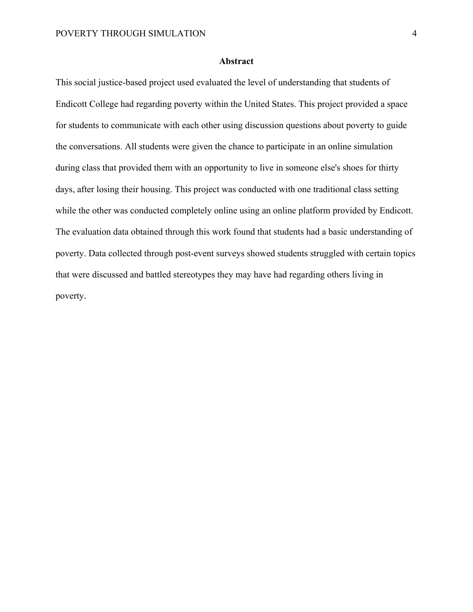## **Abstract**

This social justice-based project used evaluated the level of understanding that students of Endicott College had regarding poverty within the United States. This project provided a space for students to communicate with each other using discussion questions about poverty to guide the conversations. All students were given the chance to participate in an online simulation during class that provided them with an opportunity to live in someone else's shoes for thirty days, after losing their housing. This project was conducted with one traditional class setting while the other was conducted completely online using an online platform provided by Endicott. The evaluation data obtained through this work found that students had a basic understanding of poverty. Data collected through post-event surveys showed students struggled with certain topics that were discussed and battled stereotypes they may have had regarding others living in poverty.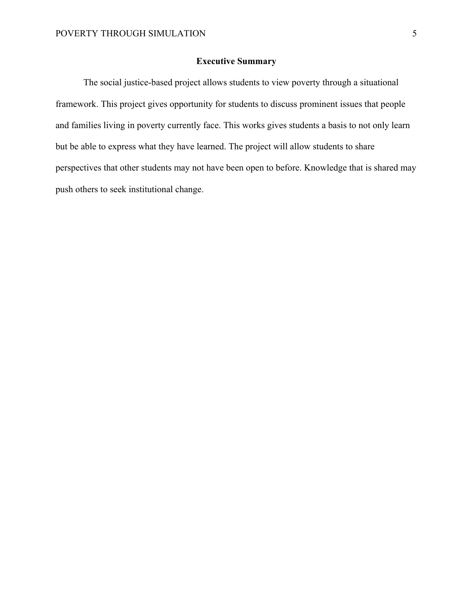## **Executive Summary**

 The social justice-based project allows students to view poverty through a situational framework. This project gives opportunity for students to discuss prominent issues that people and families living in poverty currently face. This works gives students a basis to not only learn but be able to express what they have learned. The project will allow students to share perspectives that other students may not have been open to before. Knowledge that is shared may push others to seek institutional change.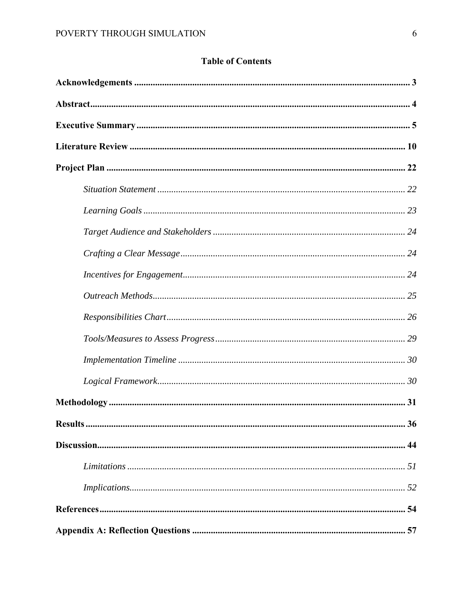# **Table of Contents**

| Results.<br>36 |
|----------------|
|                |
|                |
|                |
|                |
|                |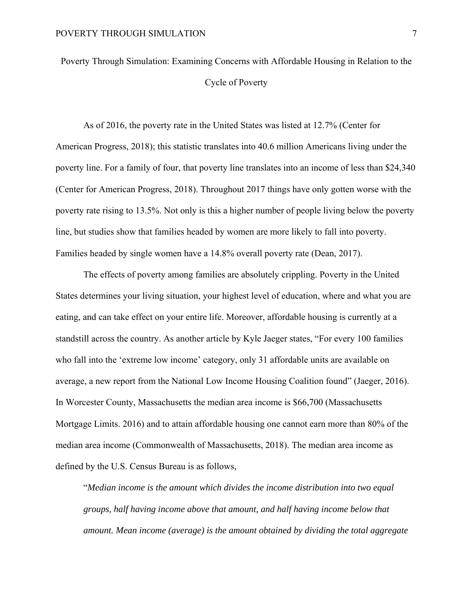Poverty Through Simulation: Examining Concerns with Affordable Housing in Relation to the Cycle of Poverty

As of 2016, the poverty rate in the United States was listed at 12.7% (Center for American Progress, 2018); this statistic translates into 40.6 million Americans living under the poverty line. For a family of four, that poverty line translates into an income of less than \$24,340 (Center for American Progress, 2018). Throughout 2017 things have only gotten worse with the poverty rate rising to 13.5%. Not only is this a higher number of people living below the poverty line, but studies show that families headed by women are more likely to fall into poverty. Families headed by single women have a 14.8% overall poverty rate (Dean, 2017).

The effects of poverty among families are absolutely crippling. Poverty in the United States determines your living situation, your highest level of education, where and what you are eating, and can take effect on your entire life. Moreover, affordable housing is currently at a standstill across the country. As another article by Kyle Jaeger states, "For every 100 families who fall into the 'extreme low income' category, only 31 affordable units are available on average, a new report from the National Low Income Housing Coalition found" (Jaeger, 2016). In Worcester County, Massachusetts the median area income is \$66,700 (Massachusetts Mortgage Limits. 2016) and to attain affordable housing one cannot earn more than 80% of the median area income (Commonwealth of Massachusetts, 2018). The median area income as defined by the U.S. Census Bureau is as follows,

"*Median income is the amount which divides the income distribution into two equal groups, half having income above that amount, and half having income below that amount. Mean income (average) is the amount obtained by dividing the total aggregate*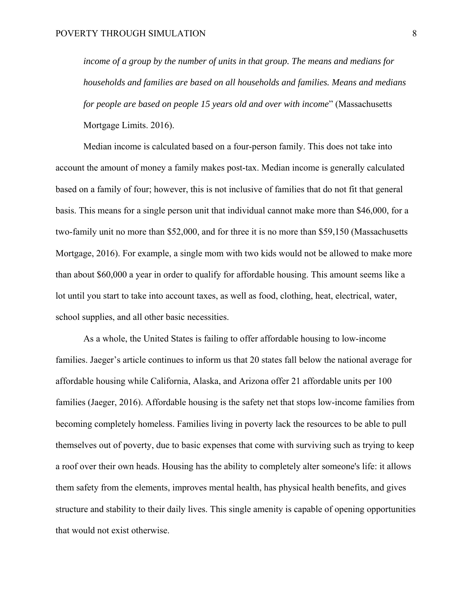*income of a group by the number of units in that group. The means and medians for households and families are based on all households and families. Means and medians for people are based on people 15 years old and over with income*" (Massachusetts Mortgage Limits. 2016).

Median income is calculated based on a four-person family. This does not take into account the amount of money a family makes post-tax. Median income is generally calculated based on a family of four; however, this is not inclusive of families that do not fit that general basis. This means for a single person unit that individual cannot make more than \$46,000, for a two-family unit no more than \$52,000, and for three it is no more than \$59,150 (Massachusetts Mortgage, 2016). For example, a single mom with two kids would not be allowed to make more than about \$60,000 a year in order to qualify for affordable housing. This amount seems like a lot until you start to take into account taxes, as well as food, clothing, heat, electrical, water, school supplies, and all other basic necessities.

As a whole, the United States is failing to offer affordable housing to low-income families. Jaeger's article continues to inform us that 20 states fall below the national average for affordable housing while California, Alaska, and Arizona offer 21 affordable units per 100 families (Jaeger, 2016). Affordable housing is the safety net that stops low-income families from becoming completely homeless. Families living in poverty lack the resources to be able to pull themselves out of poverty, due to basic expenses that come with surviving such as trying to keep a roof over their own heads. Housing has the ability to completely alter someone's life: it allows them safety from the elements, improves mental health, has physical health benefits, and gives structure and stability to their daily lives. This single amenity is capable of opening opportunities that would not exist otherwise.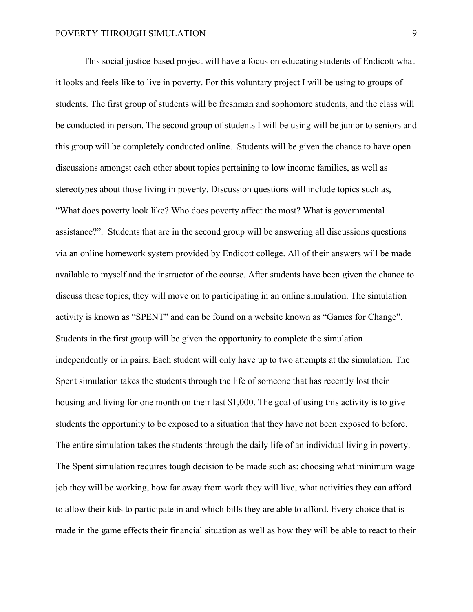This social justice-based project will have a focus on educating students of Endicott what it looks and feels like to live in poverty. For this voluntary project I will be using to groups of students. The first group of students will be freshman and sophomore students, and the class will be conducted in person. The second group of students I will be using will be junior to seniors and this group will be completely conducted online. Students will be given the chance to have open discussions amongst each other about topics pertaining to low income families, as well as stereotypes about those living in poverty. Discussion questions will include topics such as, "What does poverty look like? Who does poverty affect the most? What is governmental assistance?". Students that are in the second group will be answering all discussions questions via an online homework system provided by Endicott college. All of their answers will be made available to myself and the instructor of the course. After students have been given the chance to discuss these topics, they will move on to participating in an online simulation. The simulation activity is known as "SPENT" and can be found on a website known as "Games for Change". Students in the first group will be given the opportunity to complete the simulation independently or in pairs. Each student will only have up to two attempts at the simulation. The Spent simulation takes the students through the life of someone that has recently lost their housing and living for one month on their last \$1,000. The goal of using this activity is to give students the opportunity to be exposed to a situation that they have not been exposed to before. The entire simulation takes the students through the daily life of an individual living in poverty. The Spent simulation requires tough decision to be made such as: choosing what minimum wage job they will be working, how far away from work they will live, what activities they can afford to allow their kids to participate in and which bills they are able to afford. Every choice that is made in the game effects their financial situation as well as how they will be able to react to their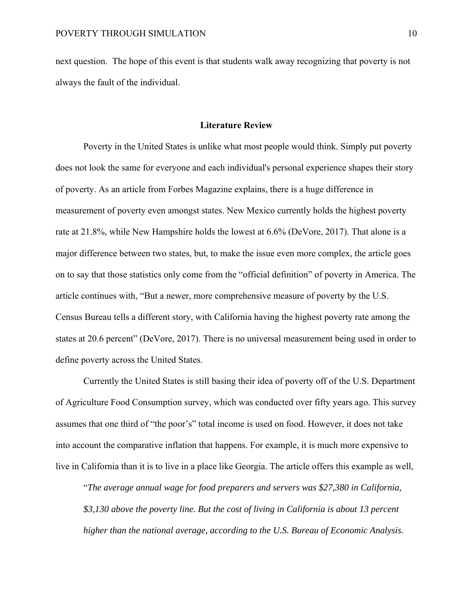next question. The hope of this event is that students walk away recognizing that poverty is not always the fault of the individual.

#### **Literature Review**

Poverty in the United States is unlike what most people would think. Simply put poverty does not look the same for everyone and each individual's personal experience shapes their story of poverty. As an article from Forbes Magazine explains, there is a huge difference in measurement of poverty even amongst states. New Mexico currently holds the highest poverty rate at 21.8%, while New Hampshire holds the lowest at 6.6% (DeVore, 2017). That alone is a major difference between two states, but, to make the issue even more complex, the article goes on to say that those statistics only come from the "official definition" of poverty in America. The article continues with, "But a newer, more comprehensive measure of poverty by the U.S. Census Bureau tells a different story, with California having the highest poverty rate among the states at 20.6 percent" (DeVore, 2017). There is no universal measurement being used in order to define poverty across the United States.

Currently the United States is still basing their idea of poverty off of the U.S. Department of Agriculture Food Consumption survey, which was conducted over fifty years ago. This survey assumes that one third of "the poor's" total income is used on food. However, it does not take into account the comparative inflation that happens. For example, it is much more expensive to live in California than it is to live in a place like Georgia. The article offers this example as well,

"*The average annual wage for food preparers and servers was \$27,380 in California, \$3,130 above the poverty line. But the cost of living in California is about 13 percent higher than the national average, according to the U.S. Bureau of Economic Analysis.*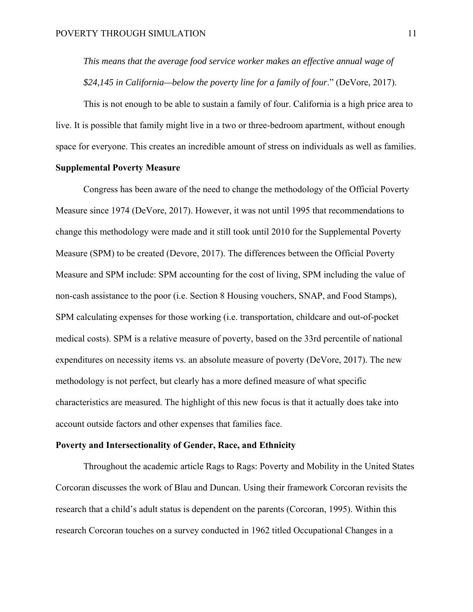*This means that the average food service worker makes an effective annual wage of \$24,145 in California—below the poverty line for a family of four*." (DeVore, 2017).

This is not enough to be able to sustain a family of four. California is a high price area to live. It is possible that family might live in a two or three-bedroom apartment, without enough space for everyone. This creates an incredible amount of stress on individuals as well as families.

## **Supplemental Poverty Measure**

Congress has been aware of the need to change the methodology of the Official Poverty Measure since 1974 (DeVore, 2017). However, it was not until 1995 that recommendations to change this methodology were made and it still took until 2010 for the Supplemental Poverty Measure (SPM) to be created (Devore, 2017). The differences between the Official Poverty Measure and SPM include: SPM accounting for the cost of living, SPM including the value of non-cash assistance to the poor (i.e. Section 8 Housing vouchers, SNAP, and Food Stamps), SPM calculating expenses for those working (i.e. transportation, childcare and out-of-pocket medical costs). SPM is a relative measure of poverty, based on the 33rd percentile of national expenditures on necessity items vs. an absolute measure of poverty (DeVore, 2017). The new methodology is not perfect, but clearly has a more defined measure of what specific characteristics are measured. The highlight of this new focus is that it actually does take into account outside factors and other expenses that families face.

#### **Poverty and Intersectionality of Gender, Race, and Ethnicity**

Throughout the academic article Rags to Rags: Poverty and Mobility in the United States Corcoran discusses the work of Blau and Duncan. Using their framework Corcoran revisits the research that a child's adult status is dependent on the parents (Corcoran, 1995). Within this research Corcoran touches on a survey conducted in 1962 titled Occupational Changes in a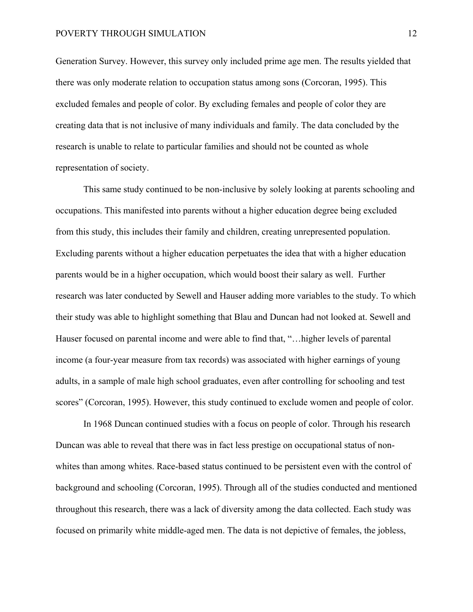#### POVERTY THROUGH SIMULATION 12

Generation Survey. However, this survey only included prime age men. The results yielded that there was only moderate relation to occupation status among sons (Corcoran, 1995). This excluded females and people of color. By excluding females and people of color they are creating data that is not inclusive of many individuals and family. The data concluded by the research is unable to relate to particular families and should not be counted as whole representation of society.

This same study continued to be non-inclusive by solely looking at parents schooling and occupations. This manifested into parents without a higher education degree being excluded from this study, this includes their family and children, creating unrepresented population. Excluding parents without a higher education perpetuates the idea that with a higher education parents would be in a higher occupation, which would boost their salary as well. Further research was later conducted by Sewell and Hauser adding more variables to the study. To which their study was able to highlight something that Blau and Duncan had not looked at. Sewell and Hauser focused on parental income and were able to find that, "…higher levels of parental income (a four-year measure from tax records) was associated with higher earnings of young adults, in a sample of male high school graduates, even after controlling for schooling and test scores" (Corcoran, 1995). However, this study continued to exclude women and people of color.

In 1968 Duncan continued studies with a focus on people of color. Through his research Duncan was able to reveal that there was in fact less prestige on occupational status of nonwhites than among whites. Race-based status continued to be persistent even with the control of background and schooling (Corcoran, 1995). Through all of the studies conducted and mentioned throughout this research, there was a lack of diversity among the data collected. Each study was focused on primarily white middle-aged men. The data is not depictive of females, the jobless,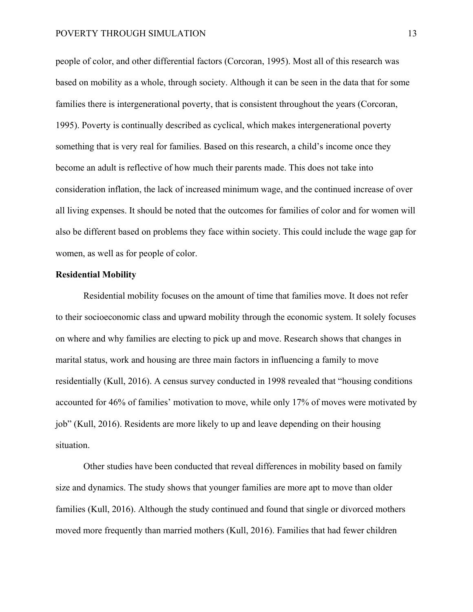people of color, and other differential factors (Corcoran, 1995). Most all of this research was based on mobility as a whole, through society. Although it can be seen in the data that for some families there is intergenerational poverty, that is consistent throughout the years (Corcoran, 1995). Poverty is continually described as cyclical, which makes intergenerational poverty something that is very real for families. Based on this research, a child's income once they become an adult is reflective of how much their parents made. This does not take into consideration inflation, the lack of increased minimum wage, and the continued increase of over all living expenses. It should be noted that the outcomes for families of color and for women will also be different based on problems they face within society. This could include the wage gap for women, as well as for people of color.

#### **Residential Mobility**

Residential mobility focuses on the amount of time that families move. It does not refer to their socioeconomic class and upward mobility through the economic system. It solely focuses on where and why families are electing to pick up and move. Research shows that changes in marital status, work and housing are three main factors in influencing a family to move residentially (Kull, 2016). A census survey conducted in 1998 revealed that "housing conditions accounted for 46% of families' motivation to move, while only 17% of moves were motivated by job" (Kull, 2016). Residents are more likely to up and leave depending on their housing situation.

Other studies have been conducted that reveal differences in mobility based on family size and dynamics. The study shows that younger families are more apt to move than older families (Kull, 2016). Although the study continued and found that single or divorced mothers moved more frequently than married mothers (Kull, 2016). Families that had fewer children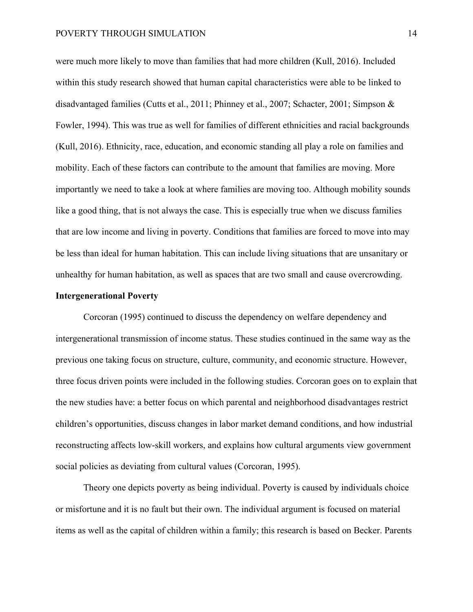were much more likely to move than families that had more children (Kull, 2016). Included within this study research showed that human capital characteristics were able to be linked to disadvantaged families (Cutts et al., 2011; Phinney et al., 2007; Schacter, 2001; Simpson & Fowler, 1994). This was true as well for families of different ethnicities and racial backgrounds (Kull, 2016). Ethnicity, race, education, and economic standing all play a role on families and mobility. Each of these factors can contribute to the amount that families are moving. More importantly we need to take a look at where families are moving too. Although mobility sounds like a good thing, that is not always the case. This is especially true when we discuss families that are low income and living in poverty. Conditions that families are forced to move into may be less than ideal for human habitation. This can include living situations that are unsanitary or unhealthy for human habitation, as well as spaces that are two small and cause overcrowding.

#### **Intergenerational Poverty**

Corcoran (1995) continued to discuss the dependency on welfare dependency and intergenerational transmission of income status. These studies continued in the same way as the previous one taking focus on structure, culture, community, and economic structure. However, three focus driven points were included in the following studies. Corcoran goes on to explain that the new studies have: a better focus on which parental and neighborhood disadvantages restrict children's opportunities, discuss changes in labor market demand conditions, and how industrial reconstructing affects low-skill workers, and explains how cultural arguments view government social policies as deviating from cultural values (Corcoran, 1995).

Theory one depicts poverty as being individual. Poverty is caused by individuals choice or misfortune and it is no fault but their own. The individual argument is focused on material items as well as the capital of children within a family; this research is based on Becker. Parents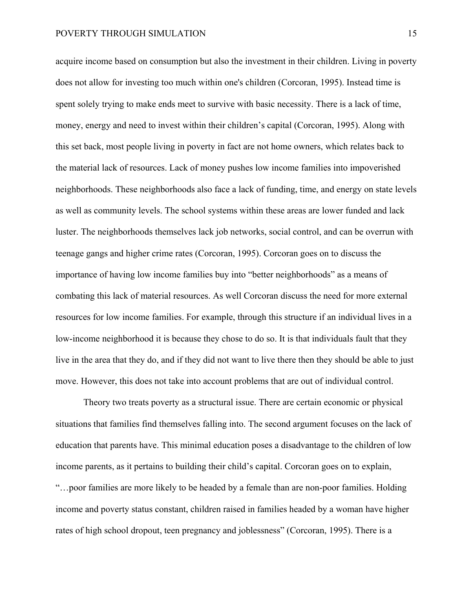acquire income based on consumption but also the investment in their children. Living in poverty does not allow for investing too much within one's children (Corcoran, 1995). Instead time is spent solely trying to make ends meet to survive with basic necessity. There is a lack of time, money, energy and need to invest within their children's capital (Corcoran, 1995). Along with this set back, most people living in poverty in fact are not home owners, which relates back to the material lack of resources. Lack of money pushes low income families into impoverished neighborhoods. These neighborhoods also face a lack of funding, time, and energy on state levels as well as community levels. The school systems within these areas are lower funded and lack luster. The neighborhoods themselves lack job networks, social control, and can be overrun with teenage gangs and higher crime rates (Corcoran, 1995). Corcoran goes on to discuss the importance of having low income families buy into "better neighborhoods" as a means of combating this lack of material resources. As well Corcoran discuss the need for more external resources for low income families. For example, through this structure if an individual lives in a low-income neighborhood it is because they chose to do so. It is that individuals fault that they live in the area that they do, and if they did not want to live there then they should be able to just move. However, this does not take into account problems that are out of individual control.

Theory two treats poverty as a structural issue. There are certain economic or physical situations that families find themselves falling into. The second argument focuses on the lack of education that parents have. This minimal education poses a disadvantage to the children of low income parents, as it pertains to building their child's capital. Corcoran goes on to explain, "…poor families are more likely to be headed by a female than are non-poor families. Holding income and poverty status constant, children raised in families headed by a woman have higher rates of high school dropout, teen pregnancy and joblessness" (Corcoran, 1995). There is a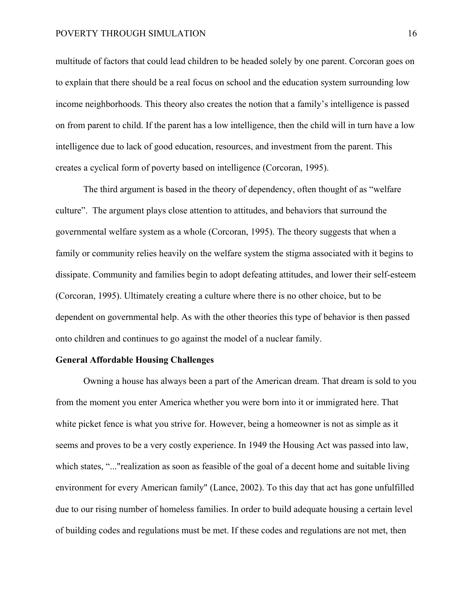#### POVERTY THROUGH SIMULATION 16

multitude of factors that could lead children to be headed solely by one parent. Corcoran goes on to explain that there should be a real focus on school and the education system surrounding low income neighborhoods. This theory also creates the notion that a family's intelligence is passed on from parent to child. If the parent has a low intelligence, then the child will in turn have a low intelligence due to lack of good education, resources, and investment from the parent. This creates a cyclical form of poverty based on intelligence (Corcoran, 1995).

The third argument is based in the theory of dependency, often thought of as "welfare culture". The argument plays close attention to attitudes, and behaviors that surround the governmental welfare system as a whole (Corcoran, 1995). The theory suggests that when a family or community relies heavily on the welfare system the stigma associated with it begins to dissipate. Community and families begin to adopt defeating attitudes, and lower their self-esteem (Corcoran, 1995). Ultimately creating a culture where there is no other choice, but to be dependent on governmental help. As with the other theories this type of behavior is then passed onto children and continues to go against the model of a nuclear family.

#### **General Affordable Housing Challenges**

Owning a house has always been a part of the American dream. That dream is sold to you from the moment you enter America whether you were born into it or immigrated here. That white picket fence is what you strive for. However, being a homeowner is not as simple as it seems and proves to be a very costly experience. In 1949 the Housing Act was passed into law, which states, "..."realization as soon as feasible of the goal of a decent home and suitable living environment for every American family" (Lance, 2002). To this day that act has gone unfulfilled due to our rising number of homeless families. In order to build adequate housing a certain level of building codes and regulations must be met. If these codes and regulations are not met, then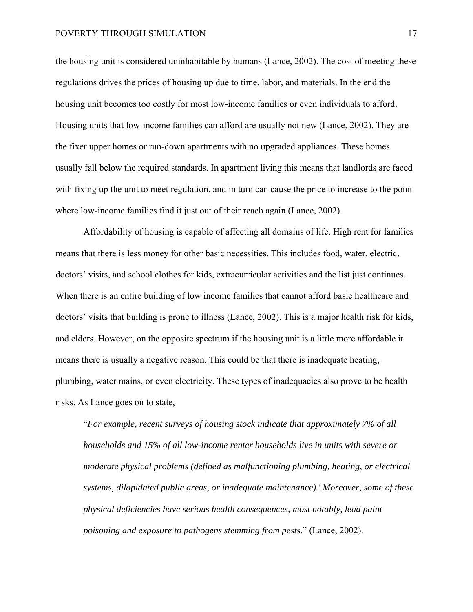the housing unit is considered uninhabitable by humans (Lance, 2002). The cost of meeting these regulations drives the prices of housing up due to time, labor, and materials. In the end the housing unit becomes too costly for most low-income families or even individuals to afford. Housing units that low-income families can afford are usually not new (Lance, 2002). They are the fixer upper homes or run-down apartments with no upgraded appliances. These homes usually fall below the required standards. In apartment living this means that landlords are faced with fixing up the unit to meet regulation, and in turn can cause the price to increase to the point where low-income families find it just out of their reach again (Lance, 2002).

Affordability of housing is capable of affecting all domains of life. High rent for families means that there is less money for other basic necessities. This includes food, water, electric, doctors' visits, and school clothes for kids, extracurricular activities and the list just continues. When there is an entire building of low income families that cannot afford basic healthcare and doctors' visits that building is prone to illness (Lance, 2002). This is a major health risk for kids, and elders. However, on the opposite spectrum if the housing unit is a little more affordable it means there is usually a negative reason. This could be that there is inadequate heating, plumbing, water mains, or even electricity. These types of inadequacies also prove to be health risks. As Lance goes on to state,

"*For example, recent surveys of housing stock indicate that approximately 7% of all households and 15% of all low-income renter households live in units with severe or moderate physical problems (defined as malfunctioning plumbing, heating, or electrical systems, dilapidated public areas, or inadequate maintenance).' Moreover, some of these physical deficiencies have serious health consequences, most notably, lead paint poisoning and exposure to pathogens stemming from pests*." (Lance, 2002).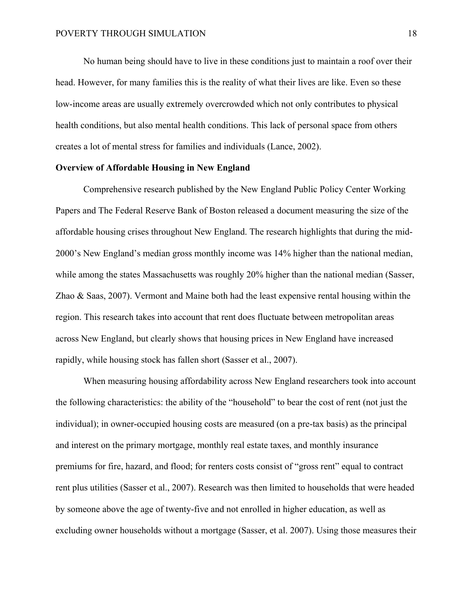No human being should have to live in these conditions just to maintain a roof over their head. However, for many families this is the reality of what their lives are like. Even so these low-income areas are usually extremely overcrowded which not only contributes to physical health conditions, but also mental health conditions. This lack of personal space from others creates a lot of mental stress for families and individuals (Lance, 2002).

#### **Overview of Affordable Housing in New England**

Comprehensive research published by the New England Public Policy Center Working Papers and The Federal Reserve Bank of Boston released a document measuring the size of the affordable housing crises throughout New England. The research highlights that during the mid-2000's New England's median gross monthly income was 14% higher than the national median, while among the states Massachusetts was roughly 20% higher than the national median (Sasser, Zhao & Saas, 2007). Vermont and Maine both had the least expensive rental housing within the region. This research takes into account that rent does fluctuate between metropolitan areas across New England, but clearly shows that housing prices in New England have increased rapidly, while housing stock has fallen short (Sasser et al., 2007).

When measuring housing affordability across New England researchers took into account the following characteristics: the ability of the "household" to bear the cost of rent (not just the individual); in owner-occupied housing costs are measured (on a pre-tax basis) as the principal and interest on the primary mortgage, monthly real estate taxes, and monthly insurance premiums for fire, hazard, and flood; for renters costs consist of "gross rent" equal to contract rent plus utilities (Sasser et al., 2007). Research was then limited to households that were headed by someone above the age of twenty-five and not enrolled in higher education, as well as excluding owner households without a mortgage (Sasser, et al. 2007). Using those measures their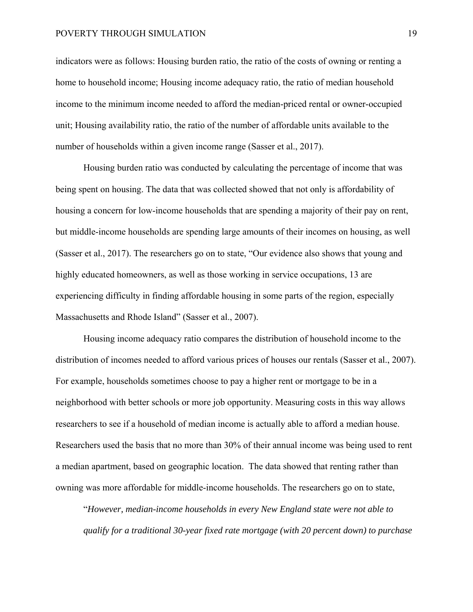#### POVERTY THROUGH SIMULATION 19

indicators were as follows: Housing burden ratio, the ratio of the costs of owning or renting a home to household income; Housing income adequacy ratio, the ratio of median household income to the minimum income needed to afford the median-priced rental or owner-occupied unit; Housing availability ratio, the ratio of the number of affordable units available to the number of households within a given income range (Sasser et al., 2017).

Housing burden ratio was conducted by calculating the percentage of income that was being spent on housing. The data that was collected showed that not only is affordability of housing a concern for low-income households that are spending a majority of their pay on rent, but middle-income households are spending large amounts of their incomes on housing, as well (Sasser et al., 2017). The researchers go on to state, "Our evidence also shows that young and highly educated homeowners, as well as those working in service occupations, 13 are experiencing difficulty in finding affordable housing in some parts of the region, especially Massachusetts and Rhode Island" (Sasser et al., 2007).

Housing income adequacy ratio compares the distribution of household income to the distribution of incomes needed to afford various prices of houses our rentals (Sasser et al., 2007). For example, households sometimes choose to pay a higher rent or mortgage to be in a neighborhood with better schools or more job opportunity. Measuring costs in this way allows researchers to see if a household of median income is actually able to afford a median house. Researchers used the basis that no more than 30% of their annual income was being used to rent a median apartment, based on geographic location. The data showed that renting rather than owning was more affordable for middle-income households. The researchers go on to state,

"*However, median-income households in every New England state were not able to qualify for a traditional 30-year fixed rate mortgage (with 20 percent down) to purchase*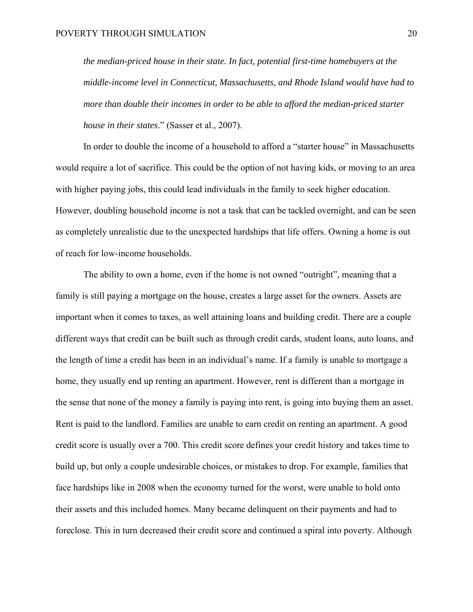*the median-priced house in their state. In fact, potential first-time homebuyers at the middle-income level in Connecticut, Massachusetts, and Rhode Island would have had to more than double their incomes in order to be able to afford the median-priced starter house in their states*." (Sasser et al., 2007).

In order to double the income of a household to afford a "starter house" in Massachusetts would require a lot of sacrifice. This could be the option of not having kids, or moving to an area with higher paying jobs, this could lead individuals in the family to seek higher education. However, doubling household income is not a task that can be tackled overnight, and can be seen as completely unrealistic due to the unexpected hardships that life offers. Owning a home is out of reach for low-income households.

The ability to own a home, even if the home is not owned "outright", meaning that a family is still paying a mortgage on the house, creates a large asset for the owners. Assets are important when it comes to taxes, as well attaining loans and building credit. There are a couple different ways that credit can be built such as through credit cards, student loans, auto loans, and the length of time a credit has been in an individual's name. If a family is unable to mortgage a home, they usually end up renting an apartment. However, rent is different than a mortgage in the sense that none of the money a family is paying into rent, is going into buying them an asset. Rent is paid to the landlord. Families are unable to earn credit on renting an apartment. A good credit score is usually over a 700. This credit score defines your credit history and takes time to build up, but only a couple undesirable choices, or mistakes to drop. For example, families that face hardships like in 2008 when the economy turned for the worst, were unable to hold onto their assets and this included homes. Many became delinquent on their payments and had to foreclose. This in turn decreased their credit score and continued a spiral into poverty. Although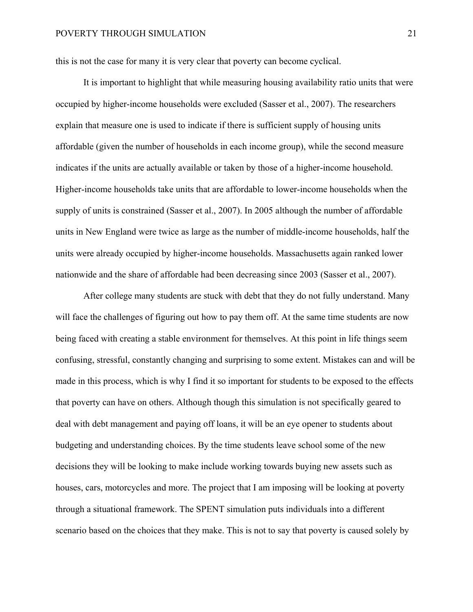this is not the case for many it is very clear that poverty can become cyclical.

It is important to highlight that while measuring housing availability ratio units that were occupied by higher-income households were excluded (Sasser et al., 2007). The researchers explain that measure one is used to indicate if there is sufficient supply of housing units affordable (given the number of households in each income group), while the second measure indicates if the units are actually available or taken by those of a higher-income household. Higher-income households take units that are affordable to lower-income households when the supply of units is constrained (Sasser et al., 2007). In 2005 although the number of affordable units in New England were twice as large as the number of middle-income households, half the units were already occupied by higher-income households. Massachusetts again ranked lower nationwide and the share of affordable had been decreasing since 2003 (Sasser et al., 2007).

After college many students are stuck with debt that they do not fully understand. Many will face the challenges of figuring out how to pay them off. At the same time students are now being faced with creating a stable environment for themselves. At this point in life things seem confusing, stressful, constantly changing and surprising to some extent. Mistakes can and will be made in this process, which is why I find it so important for students to be exposed to the effects that poverty can have on others. Although though this simulation is not specifically geared to deal with debt management and paying off loans, it will be an eye opener to students about budgeting and understanding choices. By the time students leave school some of the new decisions they will be looking to make include working towards buying new assets such as houses, cars, motorcycles and more. The project that I am imposing will be looking at poverty through a situational framework. The SPENT simulation puts individuals into a different scenario based on the choices that they make. This is not to say that poverty is caused solely by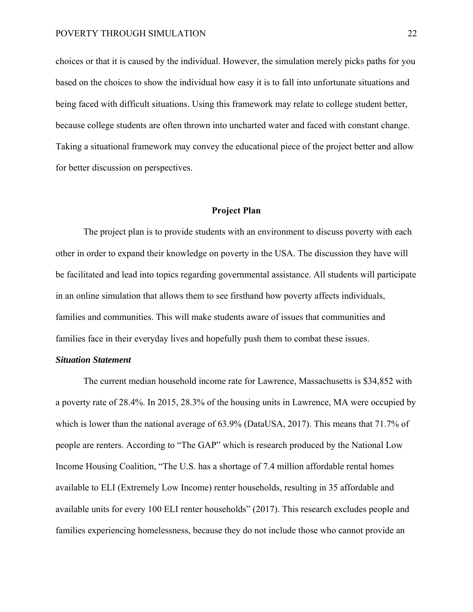choices or that it is caused by the individual. However, the simulation merely picks paths for you based on the choices to show the individual how easy it is to fall into unfortunate situations and being faced with difficult situations. Using this framework may relate to college student better, because college students are often thrown into uncharted water and faced with constant change. Taking a situational framework may convey the educational piece of the project better and allow for better discussion on perspectives.

#### **Project Plan**

 The project plan is to provide students with an environment to discuss poverty with each other in order to expand their knowledge on poverty in the USA. The discussion they have will be facilitated and lead into topics regarding governmental assistance. All students will participate in an online simulation that allows them to see firsthand how poverty affects individuals, families and communities. This will make students aware of issues that communities and families face in their everyday lives and hopefully push them to combat these issues.

#### *Situation Statement*

The current median household income rate for Lawrence, Massachusetts is \$34,852 with a poverty rate of 28.4%. In 2015, 28.3% of the housing units in Lawrence, MA were occupied by which is lower than the national average of 63.9% (DataUSA, 2017). This means that 71.7% of people are renters. According to "The GAP" which is research produced by the National Low Income Housing Coalition, "The U.S. has a shortage of 7.4 million affordable rental homes available to ELI (Extremely Low Income) renter households, resulting in 35 affordable and available units for every 100 ELI renter households" (2017). This research excludes people and families experiencing homelessness, because they do not include those who cannot provide an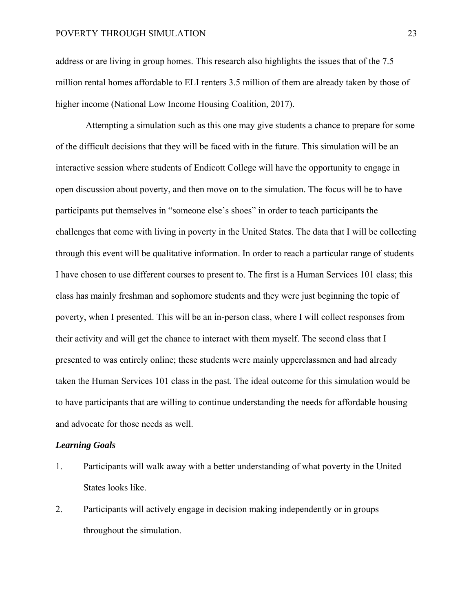#### POVERTY THROUGH SIMULATION 23

address or are living in group homes. This research also highlights the issues that of the 7.5 million rental homes affordable to ELI renters 3.5 million of them are already taken by those of higher income (National Low Income Housing Coalition, 2017).

 Attempting a simulation such as this one may give students a chance to prepare for some of the difficult decisions that they will be faced with in the future. This simulation will be an interactive session where students of Endicott College will have the opportunity to engage in open discussion about poverty, and then move on to the simulation. The focus will be to have participants put themselves in "someone else's shoes" in order to teach participants the challenges that come with living in poverty in the United States. The data that I will be collecting through this event will be qualitative information. In order to reach a particular range of students I have chosen to use different courses to present to. The first is a Human Services 101 class; this class has mainly freshman and sophomore students and they were just beginning the topic of poverty, when I presented. This will be an in-person class, where I will collect responses from their activity and will get the chance to interact with them myself. The second class that I presented to was entirely online; these students were mainly upperclassmen and had already taken the Human Services 101 class in the past. The ideal outcome for this simulation would be to have participants that are willing to continue understanding the needs for affordable housing and advocate for those needs as well.

#### *Learning Goals*

- 1. Participants will walk away with a better understanding of what poverty in the United States looks like.
- 2. Participants will actively engage in decision making independently or in groups throughout the simulation.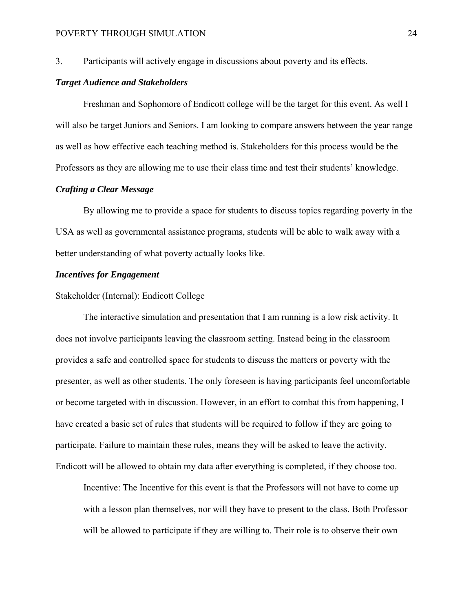3. Participants will actively engage in discussions about poverty and its effects.

#### *Target Audience and Stakeholders*

 Freshman and Sophomore of Endicott college will be the target for this event. As well I will also be target Juniors and Seniors. I am looking to compare answers between the year range as well as how effective each teaching method is. Stakeholders for this process would be the Professors as they are allowing me to use their class time and test their students' knowledge.

# *Crafting a Clear Message*

By allowing me to provide a space for students to discuss topics regarding poverty in the USA as well as governmental assistance programs, students will be able to walk away with a better understanding of what poverty actually looks like.

#### *Incentives for Engagement*

#### Stakeholder (Internal): Endicott College

The interactive simulation and presentation that I am running is a low risk activity. It does not involve participants leaving the classroom setting. Instead being in the classroom provides a safe and controlled space for students to discuss the matters or poverty with the presenter, as well as other students. The only foreseen is having participants feel uncomfortable or become targeted with in discussion. However, in an effort to combat this from happening, I have created a basic set of rules that students will be required to follow if they are going to participate. Failure to maintain these rules, means they will be asked to leave the activity. Endicott will be allowed to obtain my data after everything is completed, if they choose too.

Incentive: The Incentive for this event is that the Professors will not have to come up with a lesson plan themselves, nor will they have to present to the class. Both Professor will be allowed to participate if they are willing to. Their role is to observe their own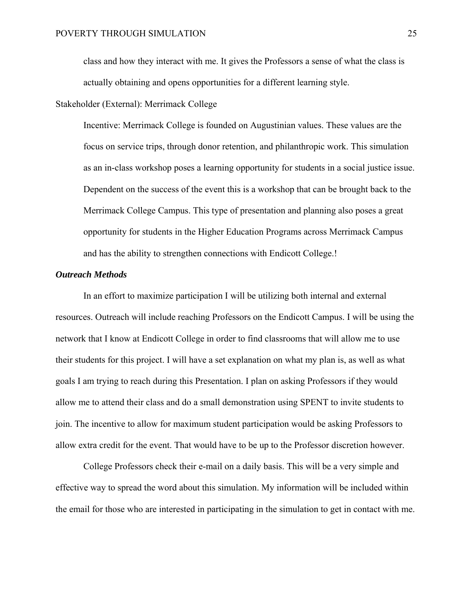class and how they interact with me. It gives the Professors a sense of what the class is actually obtaining and opens opportunities for a different learning style.

Stakeholder (External): Merrimack College

Incentive: Merrimack College is founded on Augustinian values. These values are the focus on service trips, through donor retention, and philanthropic work. This simulation as an in-class workshop poses a learning opportunity for students in a social justice issue. Dependent on the success of the event this is a workshop that can be brought back to the Merrimack College Campus. This type of presentation and planning also poses a great opportunity for students in the Higher Education Programs across Merrimack Campus and has the ability to strengthen connections with Endicott College.!

#### *Outreach Methods*

In an effort to maximize participation I will be utilizing both internal and external resources. Outreach will include reaching Professors on the Endicott Campus. I will be using the network that I know at Endicott College in order to find classrooms that will allow me to use their students for this project. I will have a set explanation on what my plan is, as well as what goals I am trying to reach during this Presentation. I plan on asking Professors if they would allow me to attend their class and do a small demonstration using SPENT to invite students to join. The incentive to allow for maximum student participation would be asking Professors to allow extra credit for the event. That would have to be up to the Professor discretion however.

College Professors check their e-mail on a daily basis. This will be a very simple and effective way to spread the word about this simulation. My information will be included within the email for those who are interested in participating in the simulation to get in contact with me.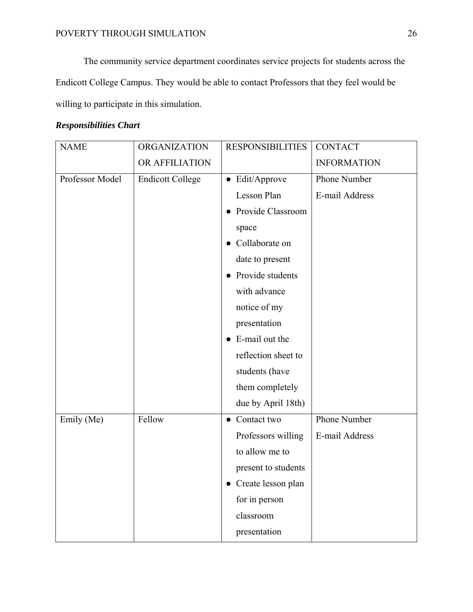The community service department coordinates service projects for students across the Endicott College Campus. They would be able to contact Professors that they feel would be willing to participate in this simulation.

# *Responsibilities Chart*

| <b>NAME</b>     | <b>ORGANIZATION</b>     | <b>RESPONSIBILITIES</b>  | <b>CONTACT</b>     |
|-----------------|-------------------------|--------------------------|--------------------|
|                 | OR AFFILIATION          |                          | <b>INFORMATION</b> |
| Professor Model | <b>Endicott College</b> | • Edit/Approve           | Phone Number       |
|                 |                         | Lesson Plan              | E-mail Address     |
|                 |                         | Provide Classroom        |                    |
|                 |                         | space                    |                    |
|                 |                         | Collaborate on           |                    |
|                 |                         | date to present          |                    |
|                 |                         | Provide students         |                    |
|                 |                         | with advance             |                    |
|                 |                         | notice of my             |                    |
|                 |                         | presentation             |                    |
|                 |                         | E-mail out the           |                    |
|                 |                         | reflection sheet to      |                    |
|                 |                         | students (have           |                    |
|                 |                         | them completely          |                    |
|                 |                         | due by April 18th)       |                    |
| Emily (Me)      | Fellow                  | Contact two<br>$\bullet$ | Phone Number       |
|                 |                         | Professors willing       | E-mail Address     |
|                 |                         | to allow me to           |                    |
|                 |                         | present to students      |                    |
|                 |                         | • Create lesson plan     |                    |
|                 |                         | for in person            |                    |
|                 |                         | classroom                |                    |
|                 |                         | presentation             |                    |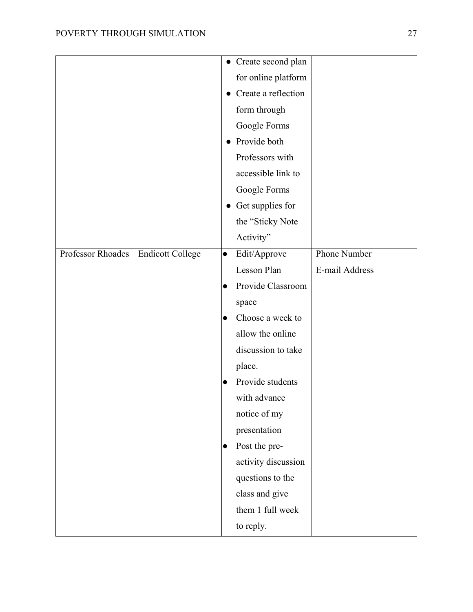|                   |                         |           | • Create second plan |                |
|-------------------|-------------------------|-----------|----------------------|----------------|
|                   |                         |           | for online platform  |                |
|                   |                         | $\bullet$ | Create a reflection  |                |
|                   |                         |           | form through         |                |
|                   |                         |           | Google Forms         |                |
|                   |                         | $\bullet$ | Provide both         |                |
|                   |                         |           | Professors with      |                |
|                   |                         |           | accessible link to   |                |
|                   |                         |           | Google Forms         |                |
|                   |                         |           | • Get supplies for   |                |
|                   |                         |           | the "Sticky Note     |                |
|                   |                         |           | Activity"            |                |
| Professor Rhoades | <b>Endicott College</b> | $\bullet$ | Edit/Approve         | Phone Number   |
|                   |                         |           | Lesson Plan          | E-mail Address |
|                   |                         |           | Provide Classroom    |                |
|                   |                         |           | space                |                |
|                   |                         | $\bullet$ | Choose a week to     |                |
|                   |                         |           | allow the online     |                |
|                   |                         |           | discussion to take   |                |
|                   |                         |           | place.               |                |
|                   |                         | $\bullet$ | Provide students     |                |
|                   |                         |           | with advance         |                |
|                   |                         |           | notice of my         |                |
|                   |                         |           | presentation         |                |
|                   |                         | $\bullet$ | Post the pre-        |                |
|                   |                         |           | activity discussion  |                |
|                   |                         |           | questions to the     |                |
|                   |                         |           | class and give       |                |
|                   |                         |           | them 1 full week     |                |
|                   |                         |           | to reply.            |                |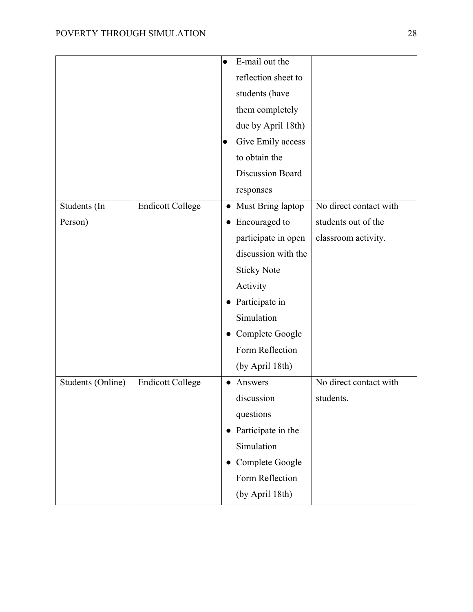|                   |                         | $\bullet$           | E-mail out the      |                        |
|-------------------|-------------------------|---------------------|---------------------|------------------------|
|                   |                         | reflection sheet to |                     |                        |
|                   |                         |                     | students (have      |                        |
|                   |                         |                     | them completely     |                        |
|                   |                         |                     | due by April 18th)  |                        |
|                   |                         | $\bullet$           | Give Emily access   |                        |
|                   |                         |                     | to obtain the       |                        |
|                   |                         |                     | Discussion Board    |                        |
|                   |                         |                     | responses           |                        |
| Students (In      | <b>Endicott College</b> | $\bullet$           | Must Bring laptop   | No direct contact with |
| Person)           |                         | $\bullet$           | Encouraged to       | students out of the    |
|                   |                         |                     | participate in open | classroom activity.    |
|                   |                         |                     | discussion with the |                        |
|                   |                         |                     | <b>Sticky Note</b>  |                        |
|                   |                         |                     | Activity            |                        |
|                   |                         |                     | Participate in      |                        |
|                   |                         |                     | Simulation          |                        |
|                   |                         | $\bullet$           | Complete Google     |                        |
|                   |                         |                     | Form Reflection     |                        |
|                   |                         |                     | (by April 18th)     |                        |
| Students (Online) | <b>Endicott College</b> |                     | Answers             | No direct contact with |
|                   |                         |                     | discussion          | students.              |
|                   |                         |                     | questions           |                        |
|                   |                         | $\bullet$           | Participate in the  |                        |
|                   |                         |                     | Simulation          |                        |
|                   |                         |                     | Complete Google     |                        |
|                   |                         |                     | Form Reflection     |                        |
|                   |                         |                     | (by April 18th)     |                        |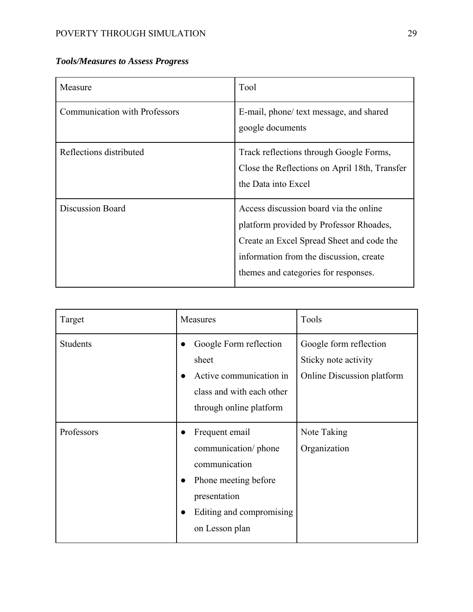| Measure                              | Tool                                                                                                                                                                                                              |
|--------------------------------------|-------------------------------------------------------------------------------------------------------------------------------------------------------------------------------------------------------------------|
| <b>Communication with Professors</b> | E-mail, phone/ text message, and shared<br>google documents                                                                                                                                                       |
| Reflections distributed              | Track reflections through Google Forms,<br>Close the Reflections on April 18th, Transfer<br>the Data into Excel                                                                                                   |
| <b>Discussion Board</b>              | Access discussion board via the online<br>platform provided by Professor Rhoades,<br>Create an Excel Spread Sheet and code the<br>information from the discussion, create<br>themes and categories for responses. |

| Target          | Measures                                                                                                                                                                | Tools                                                                               |
|-----------------|-------------------------------------------------------------------------------------------------------------------------------------------------------------------------|-------------------------------------------------------------------------------------|
| <b>Students</b> | Google Form reflection<br>$\bullet$<br>sheet<br>Active communication in<br>class and with each other<br>through online platform                                         | Google form reflection<br>Sticky note activity<br><b>Online Discussion platform</b> |
| Professors      | Frequent email<br>communication/ phone<br>communication<br>Phone meeting before<br>$\bullet$<br>presentation<br>Editing and compromising<br>$\bullet$<br>on Lesson plan | Note Taking<br>Organization                                                         |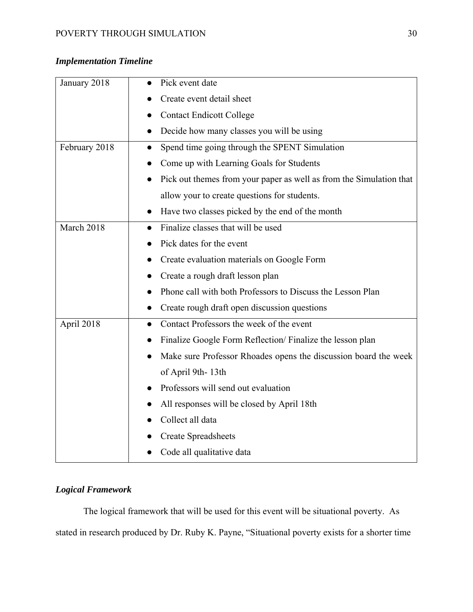# *Implementation Timeline*

| January 2018  | Pick event date                                                     |
|---------------|---------------------------------------------------------------------|
|               | Create event detail sheet                                           |
|               | <b>Contact Endicott College</b>                                     |
|               | Decide how many classes you will be using                           |
| February 2018 | Spend time going through the SPENT Simulation                       |
|               | Come up with Learning Goals for Students                            |
|               | Pick out themes from your paper as well as from the Simulation that |
|               | allow your to create questions for students.                        |
|               | Have two classes picked by the end of the month                     |
| March 2018    | Finalize classes that will be used                                  |
|               | Pick dates for the event                                            |
|               | Create evaluation materials on Google Form                          |
|               | Create a rough draft lesson plan                                    |
|               | Phone call with both Professors to Discuss the Lesson Plan          |
|               | Create rough draft open discussion questions                        |
| April 2018    | Contact Professors the week of the event<br>e                       |
|               | Finalize Google Form Reflection/ Finalize the lesson plan           |
|               | Make sure Professor Rhoades opens the discussion board the week     |
|               | of April 9th-13th                                                   |
|               | Professors will send out evaluation                                 |
|               | All responses will be closed by April 18th                          |
|               | Collect all data                                                    |
|               | <b>Create Spreadsheets</b>                                          |
|               | Code all qualitative data                                           |

# *Logical Framework*

 The logical framework that will be used for this event will be situational poverty. As stated in research produced by Dr. Ruby K. Payne, "Situational poverty exists for a shorter time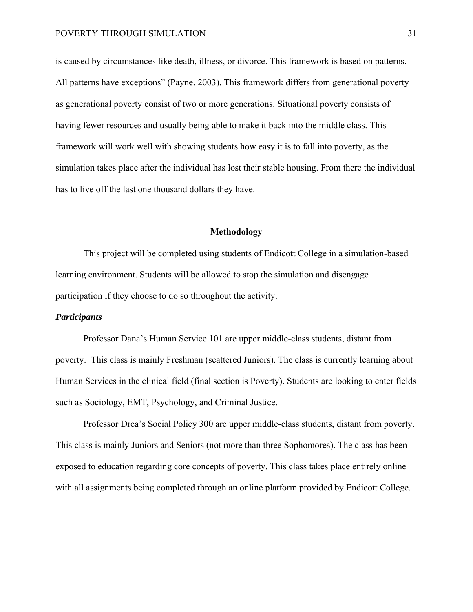is caused by circumstances like death, illness, or divorce. This framework is based on patterns. All patterns have exceptions" (Payne. 2003). This framework differs from generational poverty as generational poverty consist of two or more generations. Situational poverty consists of having fewer resources and usually being able to make it back into the middle class. This framework will work well with showing students how easy it is to fall into poverty, as the simulation takes place after the individual has lost their stable housing. From there the individual has to live off the last one thousand dollars they have.

#### **Methodology**

 This project will be completed using students of Endicott College in a simulation-based learning environment. Students will be allowed to stop the simulation and disengage participation if they choose to do so throughout the activity.

#### *Participants*

 Professor Dana's Human Service 101 are upper middle-class students, distant from poverty. This class is mainly Freshman (scattered Juniors). The class is currently learning about Human Services in the clinical field (final section is Poverty). Students are looking to enter fields such as Sociology, EMT, Psychology, and Criminal Justice.

 Professor Drea's Social Policy 300 are upper middle-class students, distant from poverty. This class is mainly Juniors and Seniors (not more than three Sophomores). The class has been exposed to education regarding core concepts of poverty. This class takes place entirely online with all assignments being completed through an online platform provided by Endicott College.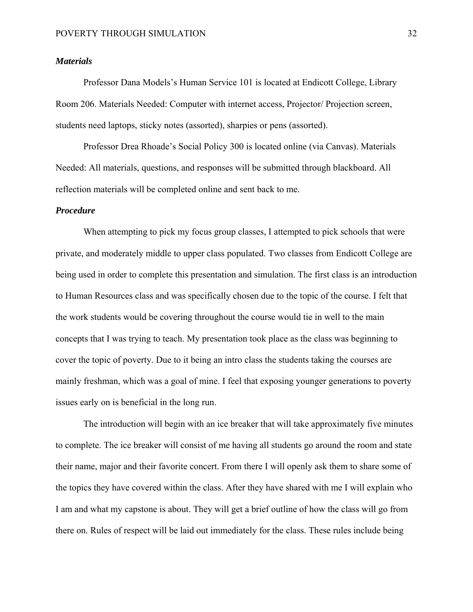#### *Materials*

 Professor Dana Models's Human Service 101 is located at Endicott College, Library Room 206. Materials Needed: Computer with internet access, Projector/ Projection screen, students need laptops, sticky notes (assorted), sharpies or pens (assorted).

 Professor Drea Rhoade's Social Policy 300 is located online (via Canvas). Materials Needed: All materials, questions, and responses will be submitted through blackboard. All reflection materials will be completed online and sent back to me.

#### *Procedure*

 When attempting to pick my focus group classes, I attempted to pick schools that were private, and moderately middle to upper class populated. Two classes from Endicott College are being used in order to complete this presentation and simulation. The first class is an introduction to Human Resources class and was specifically chosen due to the topic of the course. I felt that the work students would be covering throughout the course would tie in well to the main concepts that I was trying to teach. My presentation took place as the class was beginning to cover the topic of poverty. Due to it being an intro class the students taking the courses are mainly freshman, which was a goal of mine. I feel that exposing younger generations to poverty issues early on is beneficial in the long run.

 The introduction will begin with an ice breaker that will take approximately five minutes to complete. The ice breaker will consist of me having all students go around the room and state their name, major and their favorite concert. From there I will openly ask them to share some of the topics they have covered within the class. After they have shared with me I will explain who I am and what my capstone is about. They will get a brief outline of how the class will go from there on. Rules of respect will be laid out immediately for the class. These rules include being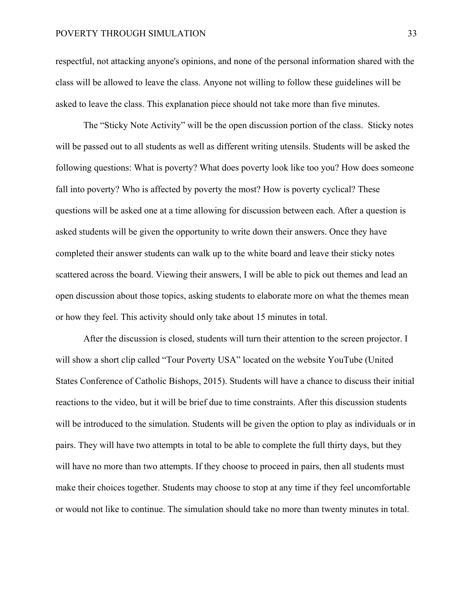#### POVERTY THROUGH SIMULATION 33

respectful, not attacking anyone's opinions, and none of the personal information shared with the class will be allowed to leave the class. Anyone not willing to follow these guidelines will be asked to leave the class. This explanation piece should not take more than five minutes.

 The "Sticky Note Activity" will be the open discussion portion of the class. Sticky notes will be passed out to all students as well as different writing utensils. Students will be asked the following questions: What is poverty? What does poverty look like too you? How does someone fall into poverty? Who is affected by poverty the most? How is poverty cyclical? These questions will be asked one at a time allowing for discussion between each. After a question is asked students will be given the opportunity to write down their answers. Once they have completed their answer students can walk up to the white board and leave their sticky notes scattered across the board. Viewing their answers, I will be able to pick out themes and lead an open discussion about those topics, asking students to elaborate more on what the themes mean or how they feel. This activity should only take about 15 minutes in total.

 After the discussion is closed, students will turn their attention to the screen projector. I will show a short clip called "Tour Poverty USA" located on the website YouTube (United States Conference of Catholic Bishops, 2015). Students will have a chance to discuss their initial reactions to the video, but it will be brief due to time constraints. After this discussion students will be introduced to the simulation. Students will be given the option to play as individuals or in pairs. They will have two attempts in total to be able to complete the full thirty days, but they will have no more than two attempts. If they choose to proceed in pairs, then all students must make their choices together. Students may choose to stop at any time if they feel uncomfortable or would not like to continue. The simulation should take no more than twenty minutes in total.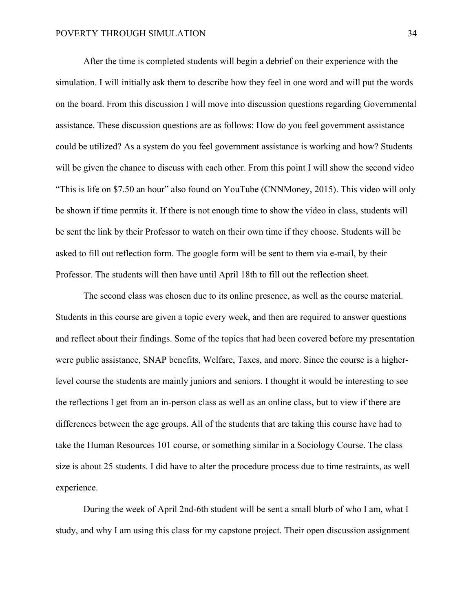After the time is completed students will begin a debrief on their experience with the simulation. I will initially ask them to describe how they feel in one word and will put the words on the board. From this discussion I will move into discussion questions regarding Governmental assistance. These discussion questions are as follows: How do you feel government assistance could be utilized? As a system do you feel government assistance is working and how? Students will be given the chance to discuss with each other. From this point I will show the second video "This is life on \$7.50 an hour" also found on YouTube (CNNMoney, 2015). This video will only be shown if time permits it. If there is not enough time to show the video in class, students will be sent the link by their Professor to watch on their own time if they choose. Students will be asked to fill out reflection form. The google form will be sent to them via e-mail, by their Professor. The students will then have until April 18th to fill out the reflection sheet.

 The second class was chosen due to its online presence, as well as the course material. Students in this course are given a topic every week, and then are required to answer questions and reflect about their findings. Some of the topics that had been covered before my presentation were public assistance, SNAP benefits, Welfare, Taxes, and more. Since the course is a higherlevel course the students are mainly juniors and seniors. I thought it would be interesting to see the reflections I get from an in-person class as well as an online class, but to view if there are differences between the age groups. All of the students that are taking this course have had to take the Human Resources 101 course, or something similar in a Sociology Course. The class size is about 25 students. I did have to alter the procedure process due to time restraints, as well experience.

 During the week of April 2nd-6th student will be sent a small blurb of who I am, what I study, and why I am using this class for my capstone project. Their open discussion assignment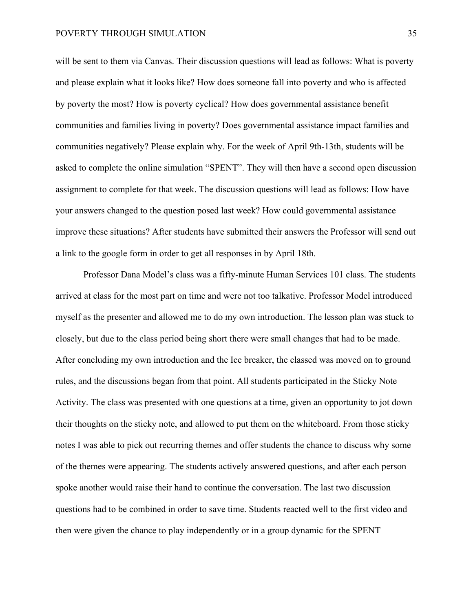will be sent to them via Canvas. Their discussion questions will lead as follows: What is poverty and please explain what it looks like? How does someone fall into poverty and who is affected by poverty the most? How is poverty cyclical? How does governmental assistance benefit communities and families living in poverty? Does governmental assistance impact families and communities negatively? Please explain why. For the week of April 9th-13th, students will be asked to complete the online simulation "SPENT". They will then have a second open discussion assignment to complete for that week. The discussion questions will lead as follows: How have your answers changed to the question posed last week? How could governmental assistance improve these situations? After students have submitted their answers the Professor will send out a link to the google form in order to get all responses in by April 18th.

 Professor Dana Model's class was a fifty-minute Human Services 101 class. The students arrived at class for the most part on time and were not too talkative. Professor Model introduced myself as the presenter and allowed me to do my own introduction. The lesson plan was stuck to closely, but due to the class period being short there were small changes that had to be made. After concluding my own introduction and the Ice breaker, the classed was moved on to ground rules, and the discussions began from that point. All students participated in the Sticky Note Activity. The class was presented with one questions at a time, given an opportunity to jot down their thoughts on the sticky note, and allowed to put them on the whiteboard. From those sticky notes I was able to pick out recurring themes and offer students the chance to discuss why some of the themes were appearing. The students actively answered questions, and after each person spoke another would raise their hand to continue the conversation. The last two discussion questions had to be combined in order to save time. Students reacted well to the first video and then were given the chance to play independently or in a group dynamic for the SPENT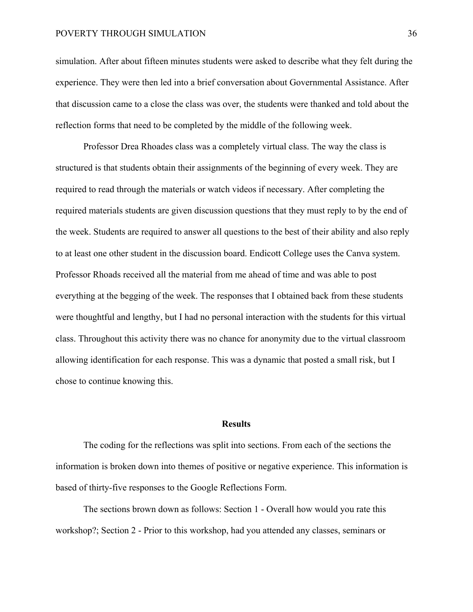#### POVERTY THROUGH SIMULATION 36

simulation. After about fifteen minutes students were asked to describe what they felt during the experience. They were then led into a brief conversation about Governmental Assistance. After that discussion came to a close the class was over, the students were thanked and told about the reflection forms that need to be completed by the middle of the following week.

 Professor Drea Rhoades class was a completely virtual class. The way the class is structured is that students obtain their assignments of the beginning of every week. They are required to read through the materials or watch videos if necessary. After completing the required materials students are given discussion questions that they must reply to by the end of the week. Students are required to answer all questions to the best of their ability and also reply to at least one other student in the discussion board. Endicott College uses the Canva system. Professor Rhoads received all the material from me ahead of time and was able to post everything at the begging of the week. The responses that I obtained back from these students were thoughtful and lengthy, but I had no personal interaction with the students for this virtual class. Throughout this activity there was no chance for anonymity due to the virtual classroom allowing identification for each response. This was a dynamic that posted a small risk, but I chose to continue knowing this.

#### **Results**

 The coding for the reflections was split into sections. From each of the sections the information is broken down into themes of positive or negative experience. This information is based of thirty-five responses to the Google Reflections Form.

 The sections brown down as follows: Section 1 - Overall how would you rate this workshop?; Section 2 - Prior to this workshop, had you attended any classes, seminars or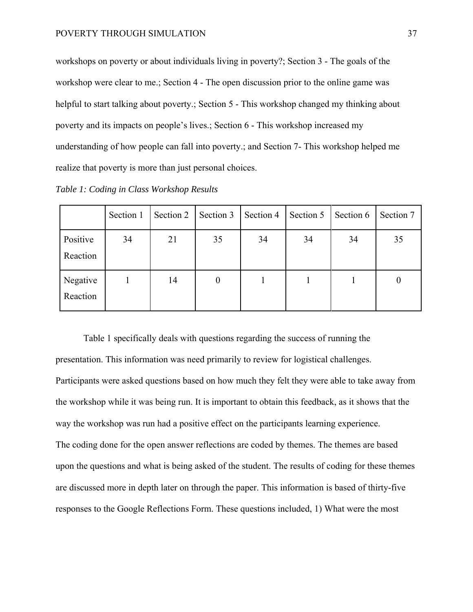workshops on poverty or about individuals living in poverty?; Section 3 - The goals of the workshop were clear to me.; Section 4 - The open discussion prior to the online game was helpful to start talking about poverty.; Section 5 - This workshop changed my thinking about poverty and its impacts on people's lives.; Section 6 - This workshop increased my understanding of how people can fall into poverty.; and Section 7- This workshop helped me realize that poverty is more than just personal choices.

|                      | Section 1 | Section 2 | Section 3        | Section 4 | Section 5 | Section 6 | Section 7 |
|----------------------|-----------|-----------|------------------|-----------|-----------|-----------|-----------|
| Positive<br>Reaction | 34        | 21        | 35               | 34        | 34        | 34        | 35        |
| Negative<br>Reaction |           | 14        | $\boldsymbol{0}$ |           |           |           | U         |

*Table 1: Coding in Class Workshop Results* 

 Table 1 specifically deals with questions regarding the success of running the presentation. This information was need primarily to review for logistical challenges. Participants were asked questions based on how much they felt they were able to take away from the workshop while it was being run. It is important to obtain this feedback, as it shows that the way the workshop was run had a positive effect on the participants learning experience. The coding done for the open answer reflections are coded by themes. The themes are based upon the questions and what is being asked of the student. The results of coding for these themes are discussed more in depth later on through the paper. This information is based of thirty-five responses to the Google Reflections Form. These questions included, 1) What were the most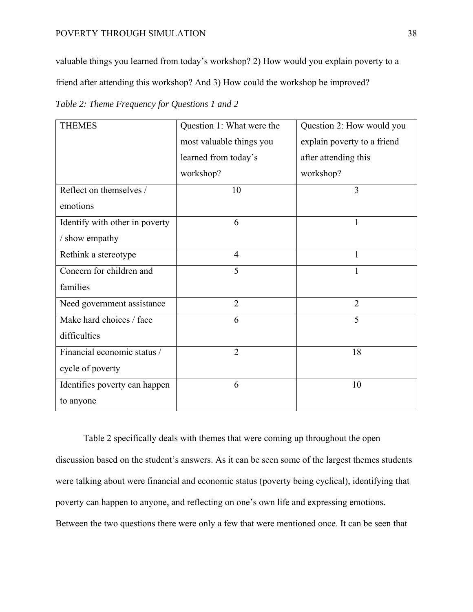#### POVERTY THROUGH SIMULATION 38

valuable things you learned from today's workshop? 2) How would you explain poverty to a friend after attending this workshop? And 3) How could the workshop be improved?

*Table 2: Theme Frequency for Questions 1 and 2* 

| <b>THEMES</b>                  | Question 1: What were the | Question 2: How would you   |  |
|--------------------------------|---------------------------|-----------------------------|--|
|                                | most valuable things you  | explain poverty to a friend |  |
|                                | learned from today's      | after attending this        |  |
|                                | workshop?                 | workshop?                   |  |
| Reflect on themselves /        | 10                        | $\overline{3}$              |  |
| emotions                       |                           |                             |  |
| Identify with other in poverty | 6                         | 1                           |  |
| / show empathy                 |                           |                             |  |
| Rethink a stereotype           | $\overline{4}$            | 1                           |  |
| Concern for children and       | 5                         |                             |  |
| families                       |                           |                             |  |
| Need government assistance     | $\overline{2}$            | $\overline{2}$              |  |
| Make hard choices / face       | 6                         | 5                           |  |
| difficulties                   |                           |                             |  |
| Financial economic status /    | $\overline{2}$            | 18                          |  |
| cycle of poverty               |                           |                             |  |
| Identifies poverty can happen  | 6                         | 10                          |  |
| to anyone                      |                           |                             |  |

 Table 2 specifically deals with themes that were coming up throughout the open discussion based on the student's answers. As it can be seen some of the largest themes students were talking about were financial and economic status (poverty being cyclical), identifying that poverty can happen to anyone, and reflecting on one's own life and expressing emotions. Between the two questions there were only a few that were mentioned once. It can be seen that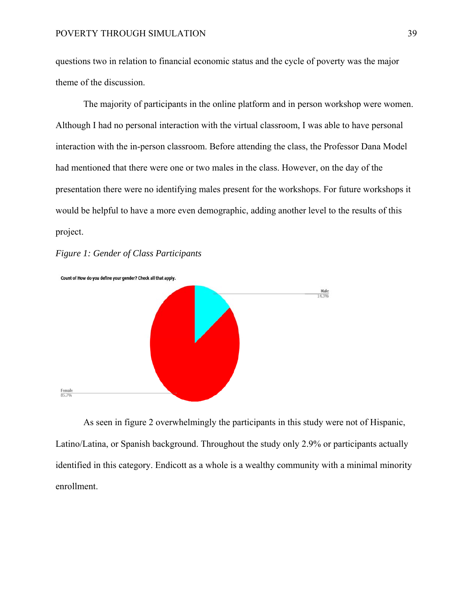questions two in relation to financial economic status and the cycle of poverty was the major theme of the discussion.

 The majority of participants in the online platform and in person workshop were women. Although I had no personal interaction with the virtual classroom, I was able to have personal interaction with the in-person classroom. Before attending the class, the Professor Dana Model had mentioned that there were one or two males in the class. However, on the day of the presentation there were no identifying males present for the workshops. For future workshops it would be helpful to have a more even demographic, adding another level to the results of this project.

#### *Figure 1: Gender of Class Participants*



 As seen in figure 2 overwhelmingly the participants in this study were not of Hispanic, Latino/Latina, or Spanish background. Throughout the study only 2.9% or participants actually identified in this category. Endicott as a whole is a wealthy community with a minimal minority enrollment.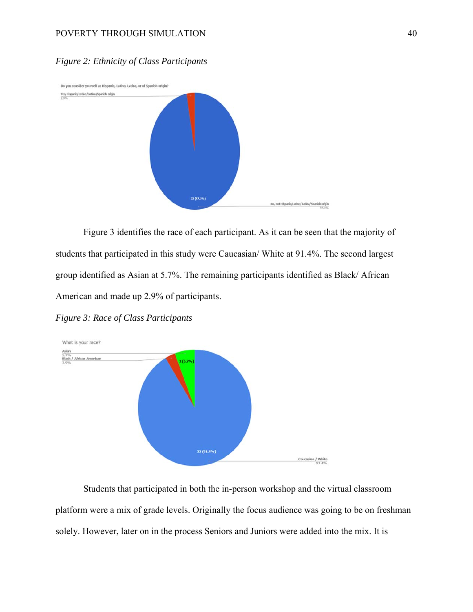#### POVERTY THROUGH SIMULATION 40

## *Figure 2: Ethnicity of Class Participants*



 Figure 3 identifies the race of each participant. As it can be seen that the majority of students that participated in this study were Caucasian/ White at 91.4%. The second largest group identified as Asian at 5.7%. The remaining participants identified as Black/ African American and made up 2.9% of participants.

*Figure 3: Race of Class Participants* 



 Students that participated in both the in-person workshop and the virtual classroom platform were a mix of grade levels. Originally the focus audience was going to be on freshman solely. However, later on in the process Seniors and Juniors were added into the mix. It is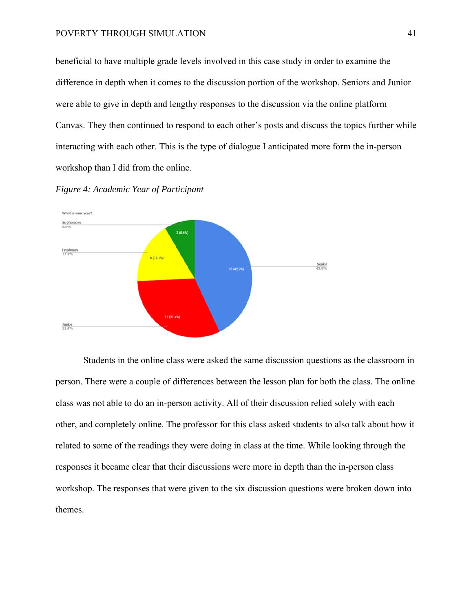#### POVERTY THROUGH SIMULATION 41

beneficial to have multiple grade levels involved in this case study in order to examine the difference in depth when it comes to the discussion portion of the workshop. Seniors and Junior were able to give in depth and lengthy responses to the discussion via the online platform Canvas. They then continued to respond to each other's posts and discuss the topics further while interacting with each other. This is the type of dialogue I anticipated more form the in-person workshop than I did from the online.





 Students in the online class were asked the same discussion questions as the classroom in person. There were a couple of differences between the lesson plan for both the class. The online class was not able to do an in-person activity. All of their discussion relied solely with each other, and completely online. The professor for this class asked students to also talk about how it related to some of the readings they were doing in class at the time. While looking through the responses it became clear that their discussions were more in depth than the in-person class workshop. The responses that were given to the six discussion questions were broken down into themes.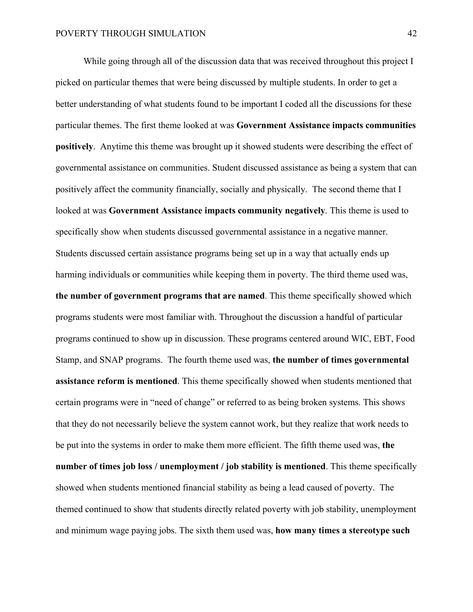While going through all of the discussion data that was received throughout this project I picked on particular themes that were being discussed by multiple students. In order to get a better understanding of what students found to be important I coded all the discussions for these particular themes. The first theme looked at was **Government Assistance impacts communities positively**. Anytime this theme was brought up it showed students were describing the effect of governmental assistance on communities. Student discussed assistance as being a system that can positively affect the community financially, socially and physically. The second theme that I looked at was **Government Assistance impacts community negatively**. This theme is used to specifically show when students discussed governmental assistance in a negative manner. Students discussed certain assistance programs being set up in a way that actually ends up harming individuals or communities while keeping them in poverty. The third theme used was, **the number of government programs that are named**. This theme specifically showed which programs students were most familiar with. Throughout the discussion a handful of particular programs continued to show up in discussion. These programs centered around WIC, EBT, Food Stamp, and SNAP programs. The fourth theme used was, **the number of times governmental assistance reform is mentioned**. This theme specifically showed when students mentioned that certain programs were in "need of change" or referred to as being broken systems. This shows that they do not necessarily believe the system cannot work, but they realize that work needs to be put into the systems in order to make them more efficient. The fifth theme used was, **the number of times job loss / unemployment / job stability is mentioned**. This theme specifically showed when students mentioned financial stability as being a lead caused of poverty. The themed continued to show that students directly related poverty with job stability, unemployment and minimum wage paying jobs. The sixth them used was, **how many times a stereotype such**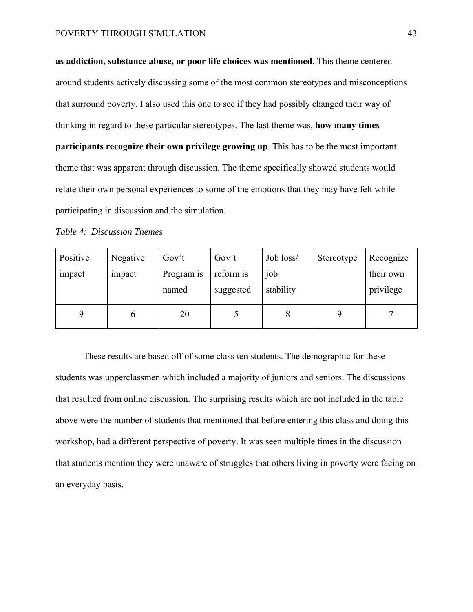**as addiction, substance abuse, or poor life choices was mentioned**. This theme centered around students actively discussing some of the most common stereotypes and misconceptions that surround poverty. I also used this one to see if they had possibly changed their way of thinking in regard to these particular stereotypes. The last theme was, **how many times participants recognize their own privilege growing up**. This has to be the most important theme that was apparent through discussion. The theme specifically showed students would relate their own personal experiences to some of the emotions that they may have felt while participating in discussion and the simulation.

*Table 4: Discussion Themes* 

| Positive    | Negative | Gov't               | Gov't                  | Job loss/        | Stereotype | Recognize              |
|-------------|----------|---------------------|------------------------|------------------|------------|------------------------|
| impact      | impact   | Program is<br>named | reform is<br>suggested | job<br>stability |            | their own<br>privilege |
| $\mathbf Q$ | 0        | 20                  |                        |                  |            |                        |

 These results are based off of some class ten students. The demographic for these students was upperclassmen which included a majority of juniors and seniors. The discussions that resulted from online discussion. The surprising results which are not included in the table above were the number of students that mentioned that before entering this class and doing this workshop, had a different perspective of poverty. It was seen multiple times in the discussion that students mention they were unaware of struggles that others living in poverty were facing on an everyday basis.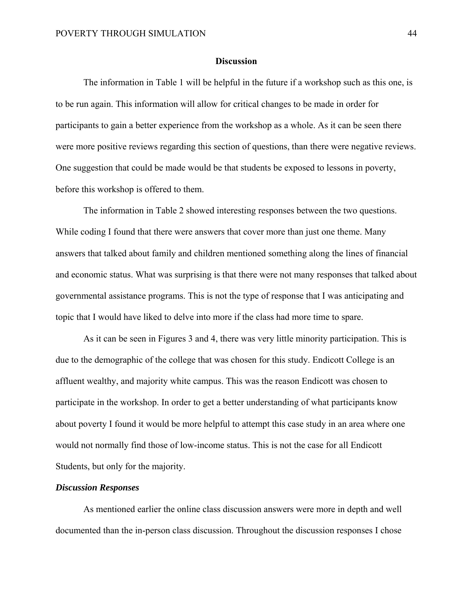#### **Discussion**

 The information in Table 1 will be helpful in the future if a workshop such as this one, is to be run again. This information will allow for critical changes to be made in order for participants to gain a better experience from the workshop as a whole. As it can be seen there were more positive reviews regarding this section of questions, than there were negative reviews. One suggestion that could be made would be that students be exposed to lessons in poverty, before this workshop is offered to them.

 The information in Table 2 showed interesting responses between the two questions. While coding I found that there were answers that cover more than just one theme. Many answers that talked about family and children mentioned something along the lines of financial and economic status. What was surprising is that there were not many responses that talked about governmental assistance programs. This is not the type of response that I was anticipating and topic that I would have liked to delve into more if the class had more time to spare.

 As it can be seen in Figures 3 and 4, there was very little minority participation. This is due to the demographic of the college that was chosen for this study. Endicott College is an affluent wealthy, and majority white campus. This was the reason Endicott was chosen to participate in the workshop. In order to get a better understanding of what participants know about poverty I found it would be more helpful to attempt this case study in an area where one would not normally find those of low-income status. This is not the case for all Endicott Students, but only for the majority.

## *Discussion Responses*

 As mentioned earlier the online class discussion answers were more in depth and well documented than the in-person class discussion. Throughout the discussion responses I chose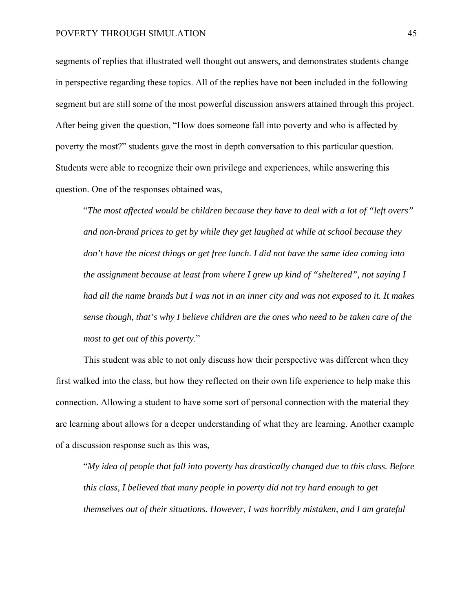segments of replies that illustrated well thought out answers, and demonstrates students change in perspective regarding these topics. All of the replies have not been included in the following segment but are still some of the most powerful discussion answers attained through this project. After being given the question, "How does someone fall into poverty and who is affected by poverty the most?" students gave the most in depth conversation to this particular question. Students were able to recognize their own privilege and experiences, while answering this question. One of the responses obtained was,

"*The most affected would be children because they have to deal with a lot of "left overs" and non-brand prices to get by while they get laughed at while at school because they don't have the nicest things or get free lunch. I did not have the same idea coming into the assignment because at least from where I grew up kind of "sheltered", not saying I had all the name brands but I was not in an inner city and was not exposed to it. It makes sense though, that's why I believe children are the ones who need to be taken care of the most to get out of this poverty*."

 This student was able to not only discuss how their perspective was different when they first walked into the class, but how they reflected on their own life experience to help make this connection. Allowing a student to have some sort of personal connection with the material they are learning about allows for a deeper understanding of what they are learning. Another example of a discussion response such as this was,

"*My idea of people that fall into poverty has drastically changed due to this class. Before this class, I believed that many people in poverty did not try hard enough to get themselves out of their situations. However, I was horribly mistaken, and I am grateful*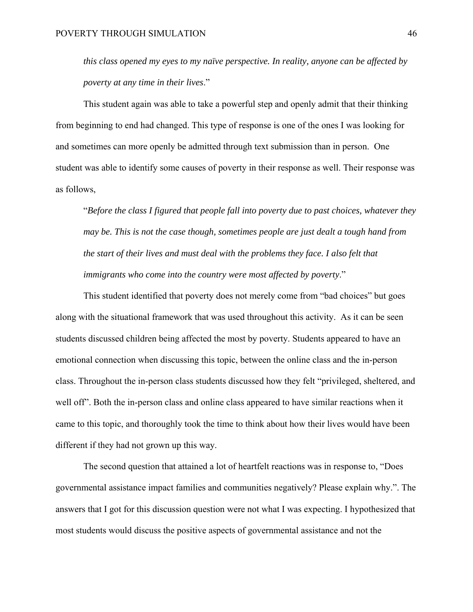*this class opened my eyes to my naïve perspective. In reality, anyone can be affected by poverty at any time in their lives*."

 This student again was able to take a powerful step and openly admit that their thinking from beginning to end had changed. This type of response is one of the ones I was looking for and sometimes can more openly be admitted through text submission than in person. One student was able to identify some causes of poverty in their response as well. Their response was as follows,

"*Before the class I figured that people fall into poverty due to past choices, whatever they may be. This is not the case though, sometimes people are just dealt a tough hand from the start of their lives and must deal with the problems they face. I also felt that immigrants who come into the country were most affected by poverty*."

 This student identified that poverty does not merely come from "bad choices" but goes along with the situational framework that was used throughout this activity. As it can be seen students discussed children being affected the most by poverty. Students appeared to have an emotional connection when discussing this topic, between the online class and the in-person class. Throughout the in-person class students discussed how they felt "privileged, sheltered, and well off". Both the in-person class and online class appeared to have similar reactions when it came to this topic, and thoroughly took the time to think about how their lives would have been different if they had not grown up this way.

 The second question that attained a lot of heartfelt reactions was in response to, "Does governmental assistance impact families and communities negatively? Please explain why.". The answers that I got for this discussion question were not what I was expecting. I hypothesized that most students would discuss the positive aspects of governmental assistance and not the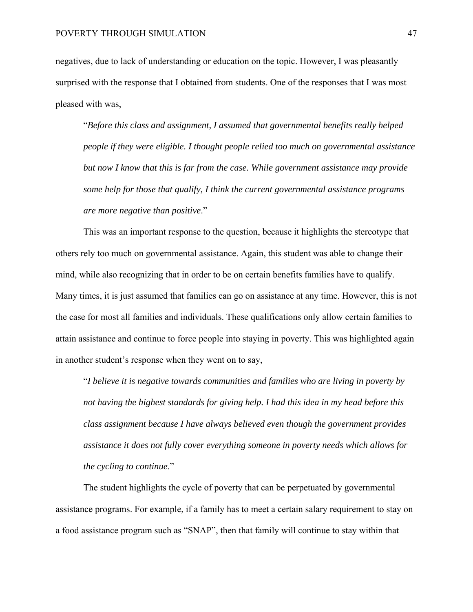negatives, due to lack of understanding or education on the topic. However, I was pleasantly surprised with the response that I obtained from students. One of the responses that I was most pleased with was,

"*Before this class and assignment, I assumed that governmental benefits really helped people if they were eligible. I thought people relied too much on governmental assistance but now I know that this is far from the case. While government assistance may provide some help for those that qualify, I think the current governmental assistance programs are more negative than positive*."

 This was an important response to the question, because it highlights the stereotype that others rely too much on governmental assistance. Again, this student was able to change their mind, while also recognizing that in order to be on certain benefits families have to qualify. Many times, it is just assumed that families can go on assistance at any time. However, this is not the case for most all families and individuals. These qualifications only allow certain families to attain assistance and continue to force people into staying in poverty. This was highlighted again in another student's response when they went on to say,

"*I believe it is negative towards communities and families who are living in poverty by not having the highest standards for giving help. I had this idea in my head before this class assignment because I have always believed even though the government provides assistance it does not fully cover everything someone in poverty needs which allows for the cycling to continue*."

 The student highlights the cycle of poverty that can be perpetuated by governmental assistance programs. For example, if a family has to meet a certain salary requirement to stay on a food assistance program such as "SNAP", then that family will continue to stay within that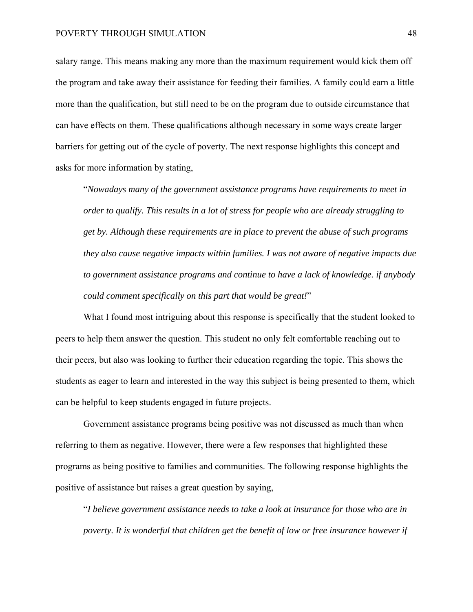salary range. This means making any more than the maximum requirement would kick them off the program and take away their assistance for feeding their families. A family could earn a little more than the qualification, but still need to be on the program due to outside circumstance that can have effects on them. These qualifications although necessary in some ways create larger barriers for getting out of the cycle of poverty. The next response highlights this concept and asks for more information by stating,

"*Nowadays many of the government assistance programs have requirements to meet in order to qualify. This results in a lot of stress for people who are already struggling to get by. Although these requirements are in place to prevent the abuse of such programs they also cause negative impacts within families. I was not aware of negative impacts due to government assistance programs and continue to have a lack of knowledge. if anybody could comment specifically on this part that would be great!*"

 What I found most intriguing about this response is specifically that the student looked to peers to help them answer the question. This student no only felt comfortable reaching out to their peers, but also was looking to further their education regarding the topic. This shows the students as eager to learn and interested in the way this subject is being presented to them, which can be helpful to keep students engaged in future projects.

 Government assistance programs being positive was not discussed as much than when referring to them as negative. However, there were a few responses that highlighted these programs as being positive to families and communities. The following response highlights the positive of assistance but raises a great question by saying,

"*I believe government assistance needs to take a look at insurance for those who are in poverty. It is wonderful that children get the benefit of low or free insurance however if*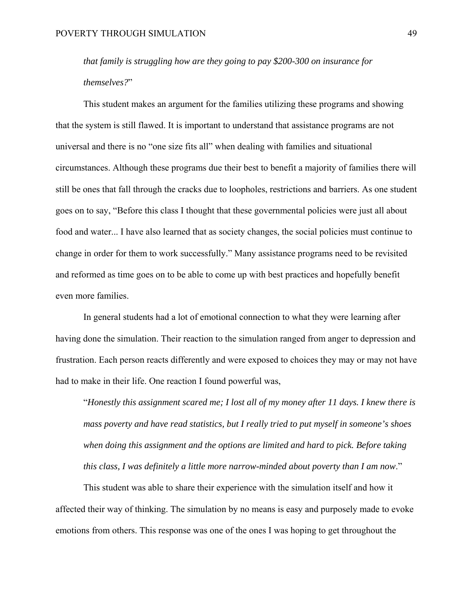*that family is struggling how are they going to pay \$200-300 on insurance for themselves?*"

 This student makes an argument for the families utilizing these programs and showing that the system is still flawed. It is important to understand that assistance programs are not universal and there is no "one size fits all" when dealing with families and situational circumstances. Although these programs due their best to benefit a majority of families there will still be ones that fall through the cracks due to loopholes, restrictions and barriers. As one student goes on to say, "Before this class I thought that these governmental policies were just all about food and water... I have also learned that as society changes, the social policies must continue to change in order for them to work successfully." Many assistance programs need to be revisited and reformed as time goes on to be able to come up with best practices and hopefully benefit even more families.

 In general students had a lot of emotional connection to what they were learning after having done the simulation. Their reaction to the simulation ranged from anger to depression and frustration. Each person reacts differently and were exposed to choices they may or may not have had to make in their life. One reaction I found powerful was,

"*Honestly this assignment scared me; I lost all of my money after 11 days. I knew there is mass poverty and have read statistics, but I really tried to put myself in someone's shoes when doing this assignment and the options are limited and hard to pick. Before taking this class, I was definitely a little more narrow-minded about poverty than I am now*."

 This student was able to share their experience with the simulation itself and how it affected their way of thinking. The simulation by no means is easy and purposely made to evoke emotions from others. This response was one of the ones I was hoping to get throughout the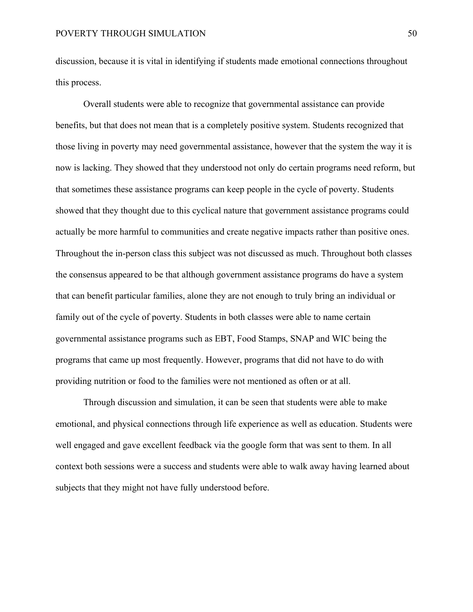discussion, because it is vital in identifying if students made emotional connections throughout this process.

 Overall students were able to recognize that governmental assistance can provide benefits, but that does not mean that is a completely positive system. Students recognized that those living in poverty may need governmental assistance, however that the system the way it is now is lacking. They showed that they understood not only do certain programs need reform, but that sometimes these assistance programs can keep people in the cycle of poverty. Students showed that they thought due to this cyclical nature that government assistance programs could actually be more harmful to communities and create negative impacts rather than positive ones. Throughout the in-person class this subject was not discussed as much. Throughout both classes the consensus appeared to be that although government assistance programs do have a system that can benefit particular families, alone they are not enough to truly bring an individual or family out of the cycle of poverty. Students in both classes were able to name certain governmental assistance programs such as EBT, Food Stamps, SNAP and WIC being the programs that came up most frequently. However, programs that did not have to do with providing nutrition or food to the families were not mentioned as often or at all.

 Through discussion and simulation, it can be seen that students were able to make emotional, and physical connections through life experience as well as education. Students were well engaged and gave excellent feedback via the google form that was sent to them. In all context both sessions were a success and students were able to walk away having learned about subjects that they might not have fully understood before.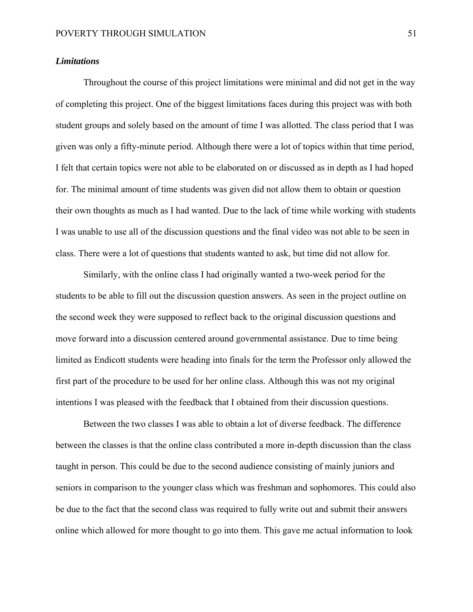#### *Limitations*

 Throughout the course of this project limitations were minimal and did not get in the way of completing this project. One of the biggest limitations faces during this project was with both student groups and solely based on the amount of time I was allotted. The class period that I was given was only a fifty-minute period. Although there were a lot of topics within that time period, I felt that certain topics were not able to be elaborated on or discussed as in depth as I had hoped for. The minimal amount of time students was given did not allow them to obtain or question their own thoughts as much as I had wanted. Due to the lack of time while working with students I was unable to use all of the discussion questions and the final video was not able to be seen in class. There were a lot of questions that students wanted to ask, but time did not allow for.

 Similarly, with the online class I had originally wanted a two-week period for the students to be able to fill out the discussion question answers. As seen in the project outline on the second week they were supposed to reflect back to the original discussion questions and move forward into a discussion centered around governmental assistance. Due to time being limited as Endicott students were heading into finals for the term the Professor only allowed the first part of the procedure to be used for her online class. Although this was not my original intentions I was pleased with the feedback that I obtained from their discussion questions.

 Between the two classes I was able to obtain a lot of diverse feedback. The difference between the classes is that the online class contributed a more in-depth discussion than the class taught in person. This could be due to the second audience consisting of mainly juniors and seniors in comparison to the younger class which was freshman and sophomores. This could also be due to the fact that the second class was required to fully write out and submit their answers online which allowed for more thought to go into them. This gave me actual information to look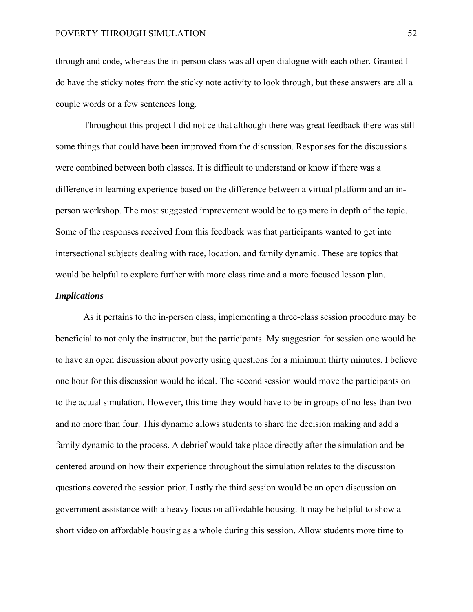through and code, whereas the in-person class was all open dialogue with each other. Granted I do have the sticky notes from the sticky note activity to look through, but these answers are all a couple words or a few sentences long.

 Throughout this project I did notice that although there was great feedback there was still some things that could have been improved from the discussion. Responses for the discussions were combined between both classes. It is difficult to understand or know if there was a difference in learning experience based on the difference between a virtual platform and an inperson workshop. The most suggested improvement would be to go more in depth of the topic. Some of the responses received from this feedback was that participants wanted to get into intersectional subjects dealing with race, location, and family dynamic. These are topics that would be helpful to explore further with more class time and a more focused lesson plan.

## *Implications*

 As it pertains to the in-person class, implementing a three-class session procedure may be beneficial to not only the instructor, but the participants. My suggestion for session one would be to have an open discussion about poverty using questions for a minimum thirty minutes. I believe one hour for this discussion would be ideal. The second session would move the participants on to the actual simulation. However, this time they would have to be in groups of no less than two and no more than four. This dynamic allows students to share the decision making and add a family dynamic to the process. A debrief would take place directly after the simulation and be centered around on how their experience throughout the simulation relates to the discussion questions covered the session prior. Lastly the third session would be an open discussion on government assistance with a heavy focus on affordable housing. It may be helpful to show a short video on affordable housing as a whole during this session. Allow students more time to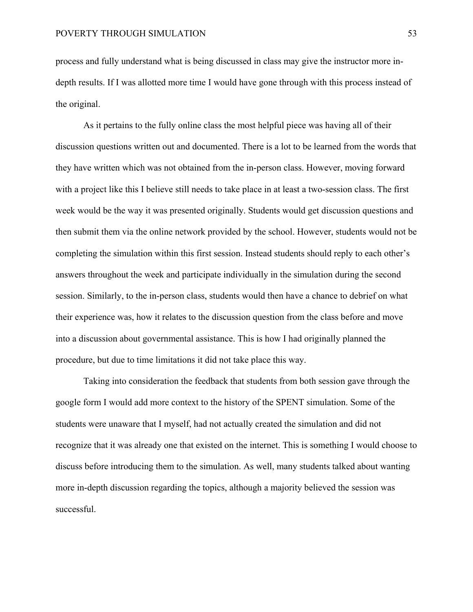process and fully understand what is being discussed in class may give the instructor more indepth results. If I was allotted more time I would have gone through with this process instead of the original.

 As it pertains to the fully online class the most helpful piece was having all of their discussion questions written out and documented. There is a lot to be learned from the words that they have written which was not obtained from the in-person class. However, moving forward with a project like this I believe still needs to take place in at least a two-session class. The first week would be the way it was presented originally. Students would get discussion questions and then submit them via the online network provided by the school. However, students would not be completing the simulation within this first session. Instead students should reply to each other's answers throughout the week and participate individually in the simulation during the second session. Similarly, to the in-person class, students would then have a chance to debrief on what their experience was, how it relates to the discussion question from the class before and move into a discussion about governmental assistance. This is how I had originally planned the procedure, but due to time limitations it did not take place this way.

 Taking into consideration the feedback that students from both session gave through the google form I would add more context to the history of the SPENT simulation. Some of the students were unaware that I myself, had not actually created the simulation and did not recognize that it was already one that existed on the internet. This is something I would choose to discuss before introducing them to the simulation. As well, many students talked about wanting more in-depth discussion regarding the topics, although a majority believed the session was successful.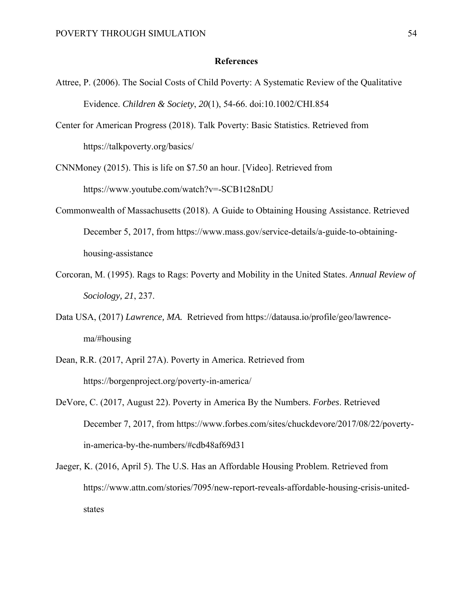#### **References**

- Attree, P. (2006). The Social Costs of Child Poverty: A Systematic Review of the Qualitative Evidence. *Children & Society*, *20*(1), 54-66. doi:10.1002/CHI.854
- Center for American Progress (2018). Talk Poverty: Basic Statistics. Retrieved from https://talkpoverty.org/basics/

CNNMoney (2015). This is life on \$7.50 an hour. [Video]. Retrieved from https://www.youtube.com/watch?v=-SCB1t28nDU

- Commonwealth of Massachusetts (2018). A Guide to Obtaining Housing Assistance. Retrieved December 5, 2017, from https://www.mass.gov/service-details/a-guide-to-obtaininghousing-assistance
- Corcoran, M. (1995). Rags to Rags: Poverty and Mobility in the United States. *Annual Review of Sociology, 21*, 237.
- Data USA, (2017) *Lawrence, MA.* Retrieved from https://datausa.io/profile/geo/lawrencema/#housing
- Dean, R.R. (2017, April 27A). Poverty in America. Retrieved from https://borgenproject.org/poverty-in-america/
- DeVore, C. (2017, August 22). Poverty in America By the Numbers. *Forbes*. Retrieved December 7, 2017, from https://www.forbes.com/sites/chuckdevore/2017/08/22/povertyin-america-by-the-numbers/#cdb48af69d31

Jaeger, K. (2016, April 5). The U.S. Has an Affordable Housing Problem. Retrieved from https://www.attn.com/stories/7095/new-report-reveals-affordable-housing-crisis-unitedstates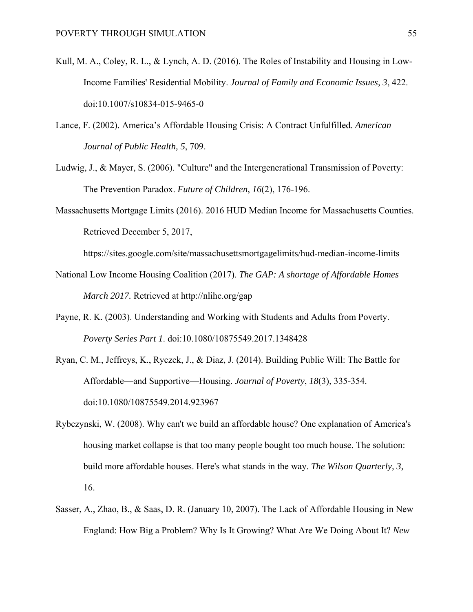- Kull, M. A., Coley, R. L., & Lynch, A. D. (2016). The Roles of Instability and Housing in Low-Income Families' Residential Mobility. *Journal of Family and Economic Issues, 3*, 422. doi:10.1007/s10834-015-9465-0
- Lance, F. (2002). America's Affordable Housing Crisis: A Contract Unfulfilled. *American Journal of Public Health, 5*, 709.
- Ludwig, J., & Mayer, S. (2006). "Culture" and the Intergenerational Transmission of Poverty: The Prevention Paradox. *Future of Children*, *16*(2), 176-196.
- Massachusetts Mortgage Limits (2016). 2016 HUD Median Income for Massachusetts Counties. Retrieved December 5, 2017,

https://sites.google.com/site/massachusettsmortgagelimits/hud-median-income-limits

- National Low Income Housing Coalition (2017). *The GAP: A shortage of Affordable Homes March 2017.* Retrieved at http://nlihc.org/gap
- Payne, R. K. (2003). Understanding and Working with Students and Adults from Poverty. *Poverty Series Part 1*. doi:10.1080/10875549.2017.1348428
- Ryan, C. M., Jeffreys, K., Ryczek, J., & Diaz, J. (2014). Building Public Will: The Battle for Affordable—and Supportive—Housing. *Journal of Poverty*, *18*(3), 335-354. doi:10.1080/10875549.2014.923967
- Rybczynski, W. (2008). Why can't we build an affordable house? One explanation of America's housing market collapse is that too many people bought too much house. The solution: build more affordable houses. Here's what stands in the way. *The Wilson Quarterly, 3,* 16.
- Sasser, A., Zhao, B., & Saas, D. R. (January 10, 2007). The Lack of Affordable Housing in New England: How Big a Problem? Why Is It Growing? What Are We Doing About It? *New*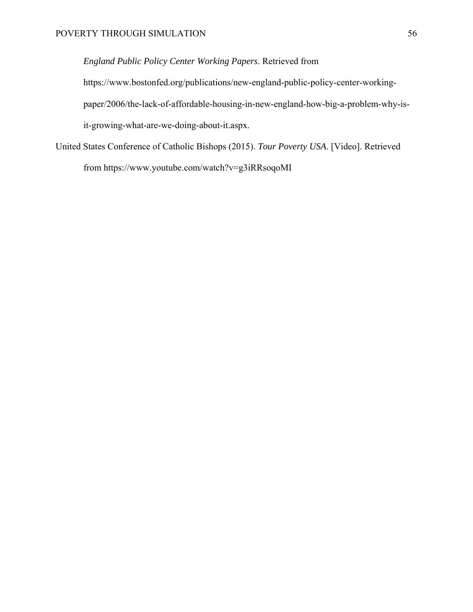*England Public Policy Center Working Papers*. Retrieved from https://www.bostonfed.org/publications/new-england-public-policy-center-workingpaper/2006/the-lack-of-affordable-housing-in-new-england-how-big-a-problem-why-isit-growing-what-are-we-doing-about-it.aspx.

United States Conference of Catholic Bishops (2015). *Tour Poverty USA*. [Video]. Retrieved from https://www.youtube.com/watch?v=g3iRRsoqoMI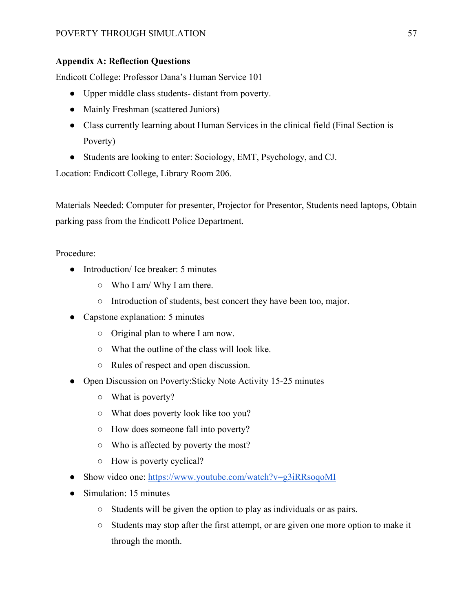# **Appendix A: Reflection Questions**

Endicott College: Professor Dana's Human Service 101

- Upper middle class students- distant from poverty.
- Mainly Freshman (scattered Juniors)
- Class currently learning about Human Services in the clinical field (Final Section is Poverty)
- Students are looking to enter: Sociology, EMT, Psychology, and CJ.

Location: Endicott College, Library Room 206.

Materials Needed: Computer for presenter, Projector for Presentor, Students need laptops, Obtain parking pass from the Endicott Police Department.

Procedure:

- Introduction/ Ice breaker: 5 minutes
	- Who I am/ Why I am there.
	- Introduction of students, best concert they have been too, major.
- Capstone explanation: 5 minutes
	- Original plan to where I am now.
	- What the outline of the class will look like.
	- Rules of respect and open discussion.
- Open Discussion on Poverty: Sticky Note Activity 15-25 minutes
	- What is poverty?
	- What does poverty look like too you?
	- How does someone fall into poverty?
	- Who is affected by poverty the most?
	- How is poverty cyclical?
- Show video one: https://www.youtube.com/watch?v=g3iRRsoqoMI
- Simulation: 15 minutes
	- Students will be given the option to play as individuals or as pairs.
	- Students may stop after the first attempt, or are given one more option to make it through the month.